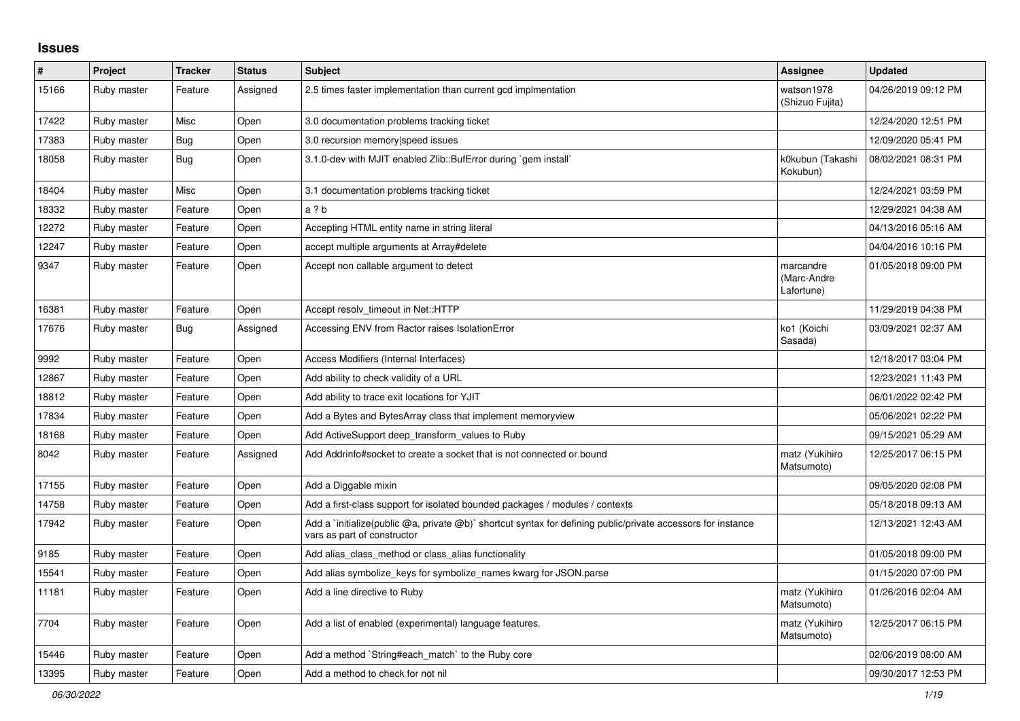## **Issues**

| #     | Project     | <b>Tracker</b> | <b>Status</b> | <b>Subject</b>                                                                                                                              | <b>Assignee</b>                        | <b>Updated</b>      |
|-------|-------------|----------------|---------------|---------------------------------------------------------------------------------------------------------------------------------------------|----------------------------------------|---------------------|
| 15166 | Ruby master | Feature        | Assigned      | 2.5 times faster implementation than current gcd implmentation                                                                              | watson1978<br>(Shizuo Fujita)          | 04/26/2019 09:12 PM |
| 17422 | Ruby master | Misc           | Open          | 3.0 documentation problems tracking ticket                                                                                                  |                                        | 12/24/2020 12:51 PM |
| 17383 | Ruby master | Bug            | Open          | 3.0 recursion memory speed issues                                                                                                           |                                        | 12/09/2020 05:41 PM |
| 18058 | Ruby master | Bug            | Open          | 3.1.0-dev with MJIT enabled Zlib::BufError during `gem install`                                                                             | k0kubun (Takashi<br>Kokubun)           | 08/02/2021 08:31 PM |
| 18404 | Ruby master | Misc           | Open          | 3.1 documentation problems tracking ticket                                                                                                  |                                        | 12/24/2021 03:59 PM |
| 18332 | Ruby master | Feature        | Open          | a ? b                                                                                                                                       |                                        | 12/29/2021 04:38 AM |
| 12272 | Ruby master | Feature        | Open          | Accepting HTML entity name in string literal                                                                                                |                                        | 04/13/2016 05:16 AM |
| 12247 | Ruby master | Feature        | Open          | accept multiple arguments at Array#delete                                                                                                   |                                        | 04/04/2016 10:16 PM |
| 9347  | Ruby master | Feature        | Open          | Accept non callable argument to detect                                                                                                      | marcandre<br>(Marc-Andre<br>Lafortune) | 01/05/2018 09:00 PM |
| 16381 | Ruby master | Feature        | Open          | Accept resolv timeout in Net::HTTP                                                                                                          |                                        | 11/29/2019 04:38 PM |
| 17676 | Ruby master | Bug            | Assigned      | Accessing ENV from Ractor raises IsolationError                                                                                             | ko1 (Koichi<br>Sasada)                 | 03/09/2021 02:37 AM |
| 9992  | Ruby master | Feature        | Open          | Access Modifiers (Internal Interfaces)                                                                                                      |                                        | 12/18/2017 03:04 PM |
| 12867 | Ruby master | Feature        | Open          | Add ability to check validity of a URL                                                                                                      |                                        | 12/23/2021 11:43 PM |
| 18812 | Ruby master | Feature        | Open          | Add ability to trace exit locations for YJIT                                                                                                |                                        | 06/01/2022 02:42 PM |
| 17834 | Ruby master | Feature        | Open          | Add a Bytes and BytesArray class that implement memoryview                                                                                  |                                        | 05/06/2021 02:22 PM |
| 18168 | Ruby master | Feature        | Open          | Add ActiveSupport deep transform values to Ruby                                                                                             |                                        | 09/15/2021 05:29 AM |
| 8042  | Ruby master | Feature        | Assigned      | Add Addrinfo#socket to create a socket that is not connected or bound                                                                       | matz (Yukihiro<br>Matsumoto)           | 12/25/2017 06:15 PM |
| 17155 | Ruby master | Feature        | Open          | Add a Diggable mixin                                                                                                                        |                                        | 09/05/2020 02:08 PM |
| 14758 | Ruby master | Feature        | Open          | Add a first-class support for isolated bounded packages / modules / contexts                                                                |                                        | 05/18/2018 09:13 AM |
| 17942 | Ruby master | Feature        | Open          | Add a `initialize(public @a, private @b)` shortcut syntax for defining public/private accessors for instance<br>vars as part of constructor |                                        | 12/13/2021 12:43 AM |
| 9185  | Ruby master | Feature        | Open          | Add alias class method or class alias functionality                                                                                         |                                        | 01/05/2018 09:00 PM |
| 15541 | Ruby master | Feature        | Open          | Add alias symbolize_keys for symbolize_names kwarg for JSON.parse                                                                           |                                        | 01/15/2020 07:00 PM |
| 11181 | Ruby master | Feature        | Open          | Add a line directive to Ruby                                                                                                                | matz (Yukihiro<br>Matsumoto)           | 01/26/2016 02:04 AM |
| 7704  | Ruby master | Feature        | Open          | Add a list of enabled (experimental) language features.                                                                                     | matz (Yukihiro<br>Matsumoto)           | 12/25/2017 06:15 PM |
| 15446 | Ruby master | Feature        | Open          | Add a method `String#each_match` to the Ruby core                                                                                           |                                        | 02/06/2019 08:00 AM |
| 13395 | Ruby master | Feature        | Open          | Add a method to check for not nil                                                                                                           |                                        | 09/30/2017 12:53 PM |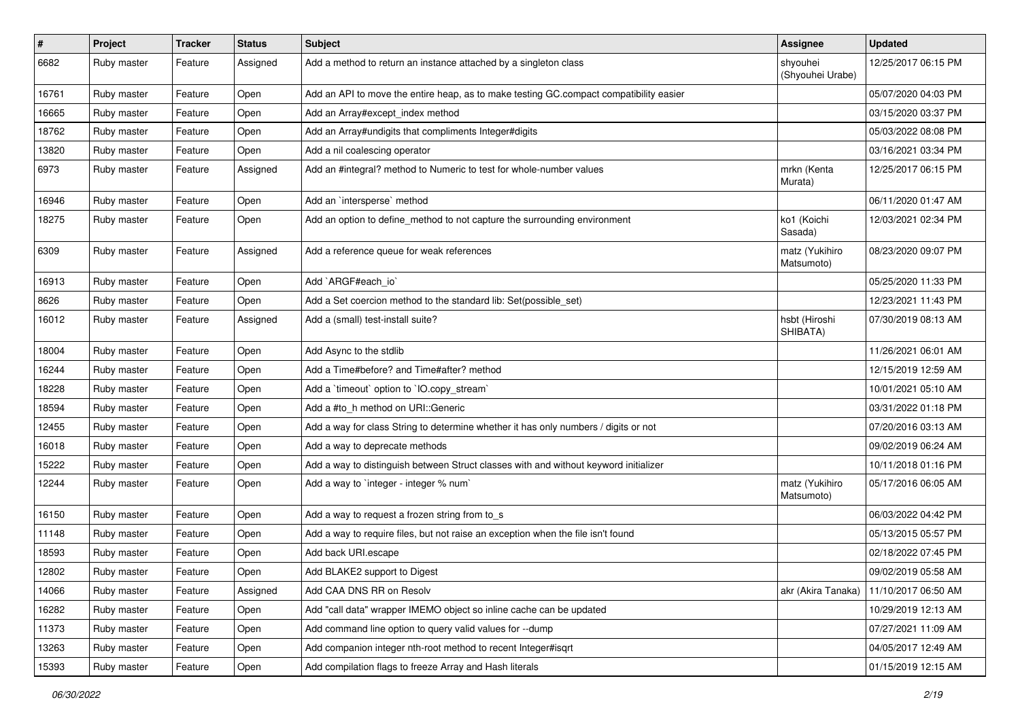| $\vert$ # | Project     | <b>Tracker</b> | <b>Status</b> | Subject                                                                                | <b>Assignee</b>              | <b>Updated</b>      |
|-----------|-------------|----------------|---------------|----------------------------------------------------------------------------------------|------------------------------|---------------------|
| 6682      | Ruby master | Feature        | Assigned      | Add a method to return an instance attached by a singleton class                       | shyouhei<br>(Shyouhei Urabe) | 12/25/2017 06:15 PM |
| 16761     | Ruby master | Feature        | Open          | Add an API to move the entire heap, as to make testing GC.compact compatibility easier |                              | 05/07/2020 04:03 PM |
| 16665     | Ruby master | Feature        | Open          | Add an Array#except index method                                                       |                              | 03/15/2020 03:37 PM |
| 18762     | Ruby master | Feature        | Open          | Add an Array#undigits that compliments Integer#digits                                  |                              | 05/03/2022 08:08 PM |
| 13820     | Ruby master | Feature        | Open          | Add a nil coalescing operator                                                          |                              | 03/16/2021 03:34 PM |
| 6973      | Ruby master | Feature        | Assigned      | Add an #integral? method to Numeric to test for whole-number values                    | mrkn (Kenta<br>Murata)       | 12/25/2017 06:15 PM |
| 16946     | Ruby master | Feature        | Open          | Add an `intersperse` method                                                            |                              | 06/11/2020 01:47 AM |
| 18275     | Ruby master | Feature        | Open          | Add an option to define_method to not capture the surrounding environment              | ko1 (Koichi<br>Sasada)       | 12/03/2021 02:34 PM |
| 6309      | Ruby master | Feature        | Assigned      | Add a reference queue for weak references                                              | matz (Yukihiro<br>Matsumoto) | 08/23/2020 09:07 PM |
| 16913     | Ruby master | Feature        | Open          | Add `ARGF#each io`                                                                     |                              | 05/25/2020 11:33 PM |
| 8626      | Ruby master | Feature        | Open          | Add a Set coercion method to the standard lib: Set(possible_set)                       |                              | 12/23/2021 11:43 PM |
| 16012     | Ruby master | Feature        | Assigned      | Add a (small) test-install suite?                                                      | hsbt (Hiroshi<br>SHIBATA)    | 07/30/2019 08:13 AM |
| 18004     | Ruby master | Feature        | Open          | Add Async to the stdlib                                                                |                              | 11/26/2021 06:01 AM |
| 16244     | Ruby master | Feature        | Open          | Add a Time#before? and Time#after? method                                              |                              | 12/15/2019 12:59 AM |
| 18228     | Ruby master | Feature        | Open          | Add a 'timeout' option to 'IO.copy_stream'                                             |                              | 10/01/2021 05:10 AM |
| 18594     | Ruby master | Feature        | Open          | Add a #to_h method on URI::Generic                                                     |                              | 03/31/2022 01:18 PM |
| 12455     | Ruby master | Feature        | Open          | Add a way for class String to determine whether it has only numbers / digits or not    |                              | 07/20/2016 03:13 AM |
| 16018     | Ruby master | Feature        | Open          | Add a way to deprecate methods                                                         |                              | 09/02/2019 06:24 AM |
| 15222     | Ruby master | Feature        | Open          | Add a way to distinguish between Struct classes with and without keyword initializer   |                              | 10/11/2018 01:16 PM |
| 12244     | Ruby master | Feature        | Open          | Add a way to `integer - integer % num`                                                 | matz (Yukihiro<br>Matsumoto) | 05/17/2016 06:05 AM |
| 16150     | Ruby master | Feature        | Open          | Add a way to request a frozen string from to_s                                         |                              | 06/03/2022 04:42 PM |
| 11148     | Ruby master | Feature        | Open          | Add a way to require files, but not raise an exception when the file isn't found       |                              | 05/13/2015 05:57 PM |
| 18593     | Ruby master | Feature        | Open          | Add back URI.escape                                                                    |                              | 02/18/2022 07:45 PM |
| 12802     | Ruby master | Feature        | Open          | Add BLAKE2 support to Digest                                                           |                              | 09/02/2019 05:58 AM |
| 14066     | Ruby master | Feature        | Assigned      | Add CAA DNS RR on Resolv                                                               | akr (Akira Tanaka)           | 11/10/2017 06:50 AM |
| 16282     | Ruby master | Feature        | Open          | Add "call data" wrapper IMEMO object so inline cache can be updated                    |                              | 10/29/2019 12:13 AM |
| 11373     | Ruby master | Feature        | Open          | Add command line option to query valid values for --dump                               |                              | 07/27/2021 11:09 AM |
| 13263     | Ruby master | Feature        | Open          | Add companion integer nth-root method to recent Integer#isqrt                          |                              | 04/05/2017 12:49 AM |
| 15393     | Ruby master | Feature        | Open          | Add compilation flags to freeze Array and Hash literals                                |                              | 01/15/2019 12:15 AM |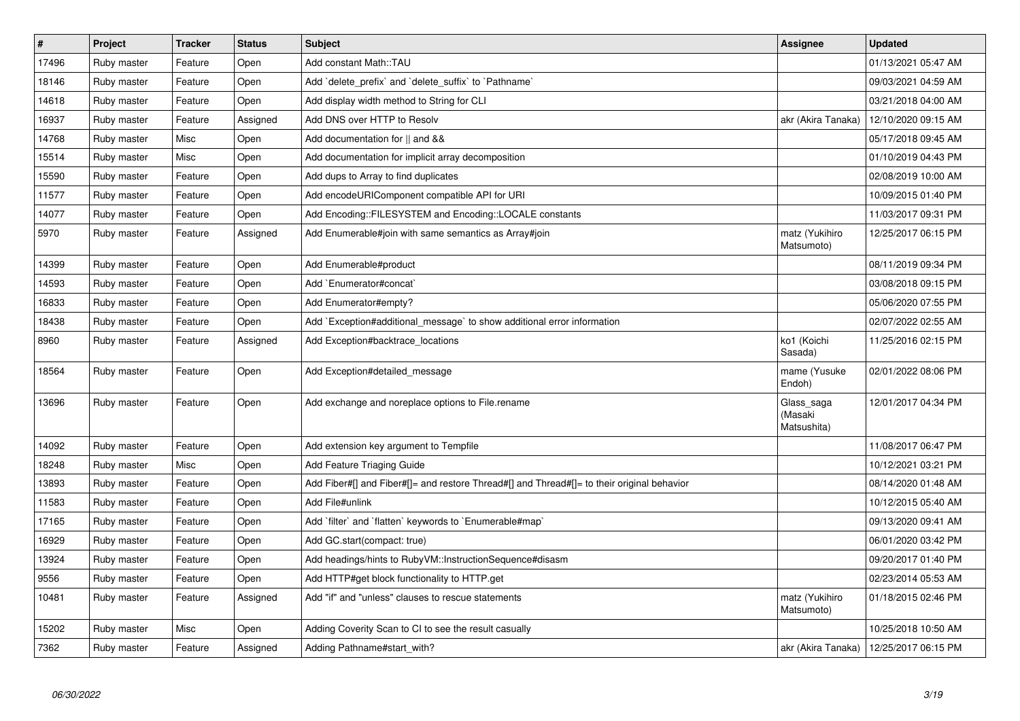| $\vert$ # | Project     | <b>Tracker</b> | <b>Status</b> | <b>Subject</b>                                                                             | Assignee                             | <b>Updated</b>      |
|-----------|-------------|----------------|---------------|--------------------------------------------------------------------------------------------|--------------------------------------|---------------------|
| 17496     | Ruby master | Feature        | Open          | Add constant Math::TAU                                                                     |                                      | 01/13/2021 05:47 AM |
| 18146     | Ruby master | Feature        | Open          | Add `delete prefix` and `delete suffix` to `Pathname`                                      |                                      | 09/03/2021 04:59 AM |
| 14618     | Ruby master | Feature        | Open          | Add display width method to String for CLI                                                 |                                      | 03/21/2018 04:00 AM |
| 16937     | Ruby master | Feature        | Assigned      | Add DNS over HTTP to Resolv                                                                | akr (Akira Tanaka)                   | 12/10/2020 09:15 AM |
| 14768     | Ruby master | Misc           | Open          | Add documentation for    and &&                                                            |                                      | 05/17/2018 09:45 AM |
| 15514     | Ruby master | Misc           | Open          | Add documentation for implicit array decomposition                                         |                                      | 01/10/2019 04:43 PM |
| 15590     | Ruby master | Feature        | Open          | Add dups to Array to find duplicates                                                       |                                      | 02/08/2019 10:00 AM |
| 11577     | Ruby master | Feature        | Open          | Add encodeURIComponent compatible API for URI                                              |                                      | 10/09/2015 01:40 PM |
| 14077     | Ruby master | Feature        | Open          | Add Encoding::FILESYSTEM and Encoding::LOCALE constants                                    |                                      | 11/03/2017 09:31 PM |
| 5970      | Ruby master | Feature        | Assigned      | Add Enumerable#join with same semantics as Array#join                                      | matz (Yukihiro<br>Matsumoto)         | 12/25/2017 06:15 PM |
| 14399     | Ruby master | Feature        | Open          | Add Enumerable#product                                                                     |                                      | 08/11/2019 09:34 PM |
| 14593     | Ruby master | Feature        | Open          | Add `Enumerator#concat`                                                                    |                                      | 03/08/2018 09:15 PM |
| 16833     | Ruby master | Feature        | Open          | Add Enumerator#empty?                                                                      |                                      | 05/06/2020 07:55 PM |
| 18438     | Ruby master | Feature        | Open          | Add `Exception#additional message` to show additional error information                    |                                      | 02/07/2022 02:55 AM |
| 8960      | Ruby master | Feature        | Assigned      | Add Exception#backtrace_locations                                                          | ko1 (Koichi<br>Sasada)               | 11/25/2016 02:15 PM |
| 18564     | Ruby master | Feature        | Open          | Add Exception#detailed_message                                                             | mame (Yusuke<br>Endoh)               | 02/01/2022 08:06 PM |
| 13696     | Ruby master | Feature        | Open          | Add exchange and noreplace options to File.rename                                          | Glass saga<br>(Masaki<br>Matsushita) | 12/01/2017 04:34 PM |
| 14092     | Ruby master | Feature        | Open          | Add extension key argument to Tempfile                                                     |                                      | 11/08/2017 06:47 PM |
| 18248     | Ruby master | Misc           | Open          | Add Feature Triaging Guide                                                                 |                                      | 10/12/2021 03:21 PM |
| 13893     | Ruby master | Feature        | Open          | Add Fiber#[] and Fiber#[]= and restore Thread#[] and Thread#[]= to their original behavior |                                      | 08/14/2020 01:48 AM |
| 11583     | Ruby master | Feature        | Open          | Add File#unlink                                                                            |                                      | 10/12/2015 05:40 AM |
| 17165     | Ruby master | Feature        | Open          | Add `filter` and `flatten` keywords to `Enumerable#map`                                    |                                      | 09/13/2020 09:41 AM |
| 16929     | Ruby master | Feature        | Open          | Add GC.start(compact: true)                                                                |                                      | 06/01/2020 03:42 PM |
| 13924     | Ruby master | Feature        | Open          | Add headings/hints to RubyVM::InstructionSequence#disasm                                   |                                      | 09/20/2017 01:40 PM |
| 9556      | Ruby master | Feature        | Open          | Add HTTP#get block functionality to HTTP.get                                               |                                      | 02/23/2014 05:53 AM |
| 10481     | Ruby master | Feature        | Assigned      | Add "if" and "unless" clauses to rescue statements                                         | matz (Yukihiro<br>Matsumoto)         | 01/18/2015 02:46 PM |
| 15202     | Ruby master | Misc           | Open          | Adding Coverity Scan to CI to see the result casually                                      |                                      | 10/25/2018 10:50 AM |
| 7362      | Ruby master | Feature        | Assigned      | Adding Pathname#start with?                                                                | akr (Akira Tanaka)                   | 12/25/2017 06:15 PM |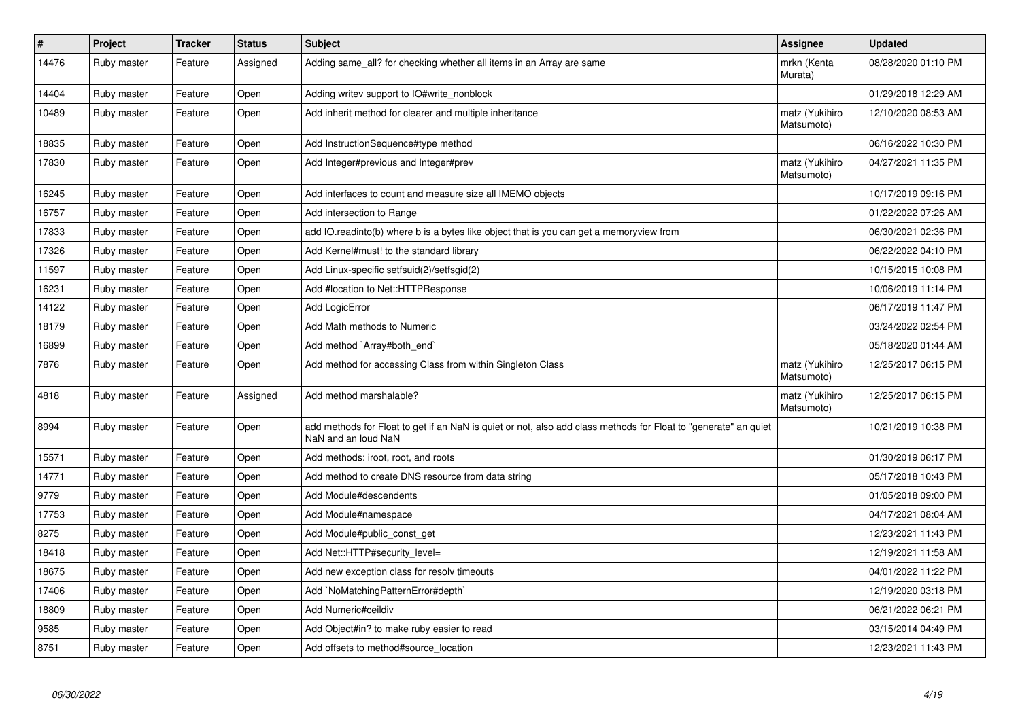| $\pmb{\#}$ | Project     | <b>Tracker</b> | <b>Status</b> | <b>Subject</b>                                                                                                                         | Assignee                     | <b>Updated</b>      |
|------------|-------------|----------------|---------------|----------------------------------------------------------------------------------------------------------------------------------------|------------------------------|---------------------|
| 14476      | Ruby master | Feature        | Assigned      | Adding same_all? for checking whether all items in an Array are same                                                                   | mrkn (Kenta<br>Murata)       | 08/28/2020 01:10 PM |
| 14404      | Ruby master | Feature        | Open          | Adding writev support to IO#write_nonblock                                                                                             |                              | 01/29/2018 12:29 AM |
| 10489      | Ruby master | Feature        | Open          | Add inherit method for clearer and multiple inheritance                                                                                | matz (Yukihiro<br>Matsumoto) | 12/10/2020 08:53 AM |
| 18835      | Ruby master | Feature        | Open          | Add InstructionSequence#type method                                                                                                    |                              | 06/16/2022 10:30 PM |
| 17830      | Ruby master | Feature        | Open          | Add Integer#previous and Integer#prev                                                                                                  | matz (Yukihiro<br>Matsumoto) | 04/27/2021 11:35 PM |
| 16245      | Ruby master | Feature        | Open          | Add interfaces to count and measure size all IMEMO objects                                                                             |                              | 10/17/2019 09:16 PM |
| 16757      | Ruby master | Feature        | Open          | Add intersection to Range                                                                                                              |                              | 01/22/2022 07:26 AM |
| 17833      | Ruby master | Feature        | Open          | add IO readinto(b) where b is a bytes like object that is you can get a memoryview from                                                |                              | 06/30/2021 02:36 PM |
| 17326      | Ruby master | Feature        | Open          | Add Kernel#must! to the standard library                                                                                               |                              | 06/22/2022 04:10 PM |
| 11597      | Ruby master | Feature        | Open          | Add Linux-specific setfsuid(2)/setfsgid(2)                                                                                             |                              | 10/15/2015 10:08 PM |
| 16231      | Ruby master | Feature        | Open          | Add #location to Net::HTTPResponse                                                                                                     |                              | 10/06/2019 11:14 PM |
| 14122      | Ruby master | Feature        | Open          | Add LogicError                                                                                                                         |                              | 06/17/2019 11:47 PM |
| 18179      | Ruby master | Feature        | Open          | Add Math methods to Numeric                                                                                                            |                              | 03/24/2022 02:54 PM |
| 16899      | Ruby master | Feature        | Open          | Add method `Array#both end`                                                                                                            |                              | 05/18/2020 01:44 AM |
| 7876       | Ruby master | Feature        | Open          | Add method for accessing Class from within Singleton Class                                                                             | matz (Yukihiro<br>Matsumoto) | 12/25/2017 06:15 PM |
| 4818       | Ruby master | Feature        | Assigned      | Add method marshalable?                                                                                                                | matz (Yukihiro<br>Matsumoto) | 12/25/2017 06:15 PM |
| 8994       | Ruby master | Feature        | Open          | add methods for Float to get if an NaN is quiet or not, also add class methods for Float to "generate" an quiet<br>NaN and an loud NaN |                              | 10/21/2019 10:38 PM |
| 15571      | Ruby master | Feature        | Open          | Add methods: iroot, root, and roots                                                                                                    |                              | 01/30/2019 06:17 PM |
| 14771      | Ruby master | Feature        | Open          | Add method to create DNS resource from data string                                                                                     |                              | 05/17/2018 10:43 PM |
| 9779       | Ruby master | Feature        | Open          | Add Module#descendents                                                                                                                 |                              | 01/05/2018 09:00 PM |
| 17753      | Ruby master | Feature        | Open          | Add Module#namespace                                                                                                                   |                              | 04/17/2021 08:04 AM |
| 8275       | Ruby master | Feature        | Open          | Add Module#public_const_get                                                                                                            |                              | 12/23/2021 11:43 PM |
| 18418      | Ruby master | Feature        | Open          | Add Net::HTTP#security_level=                                                                                                          |                              | 12/19/2021 11:58 AM |
| 18675      | Ruby master | Feature        | Open          | Add new exception class for resolv timeouts                                                                                            |                              | 04/01/2022 11:22 PM |
| 17406      | Ruby master | Feature        | Open          | Add `NoMatchingPatternError#depth`                                                                                                     |                              | 12/19/2020 03:18 PM |
| 18809      | Ruby master | Feature        | Open          | Add Numeric#ceildiv                                                                                                                    |                              | 06/21/2022 06:21 PM |
| 9585       | Ruby master | Feature        | Open          | Add Object#in? to make ruby easier to read                                                                                             |                              | 03/15/2014 04:49 PM |
| 8751       | Ruby master | Feature        | Open          | Add offsets to method#source_location                                                                                                  |                              | 12/23/2021 11:43 PM |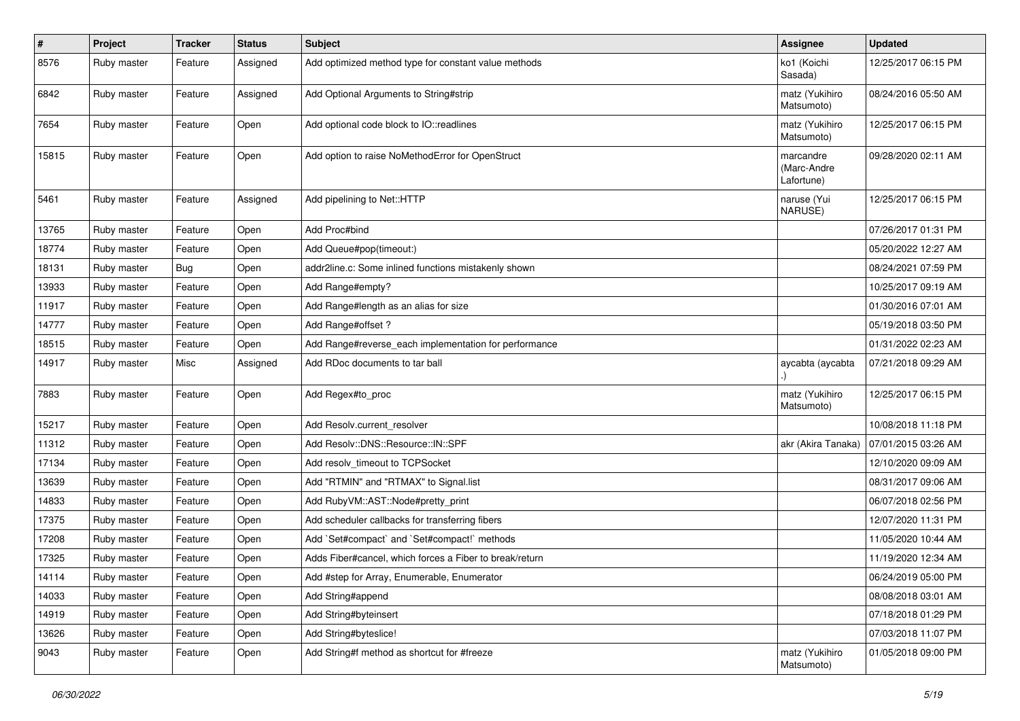| #     | Project     | <b>Tracker</b> | <b>Status</b> | <b>Subject</b>                                          | <b>Assignee</b>                        | <b>Updated</b>      |
|-------|-------------|----------------|---------------|---------------------------------------------------------|----------------------------------------|---------------------|
| 8576  | Ruby master | Feature        | Assigned      | Add optimized method type for constant value methods    | ko1 (Koichi<br>Sasada)                 | 12/25/2017 06:15 PM |
| 6842  | Ruby master | Feature        | Assigned      | Add Optional Arguments to String#strip                  | matz (Yukihiro<br>Matsumoto)           | 08/24/2016 05:50 AM |
| 7654  | Ruby master | Feature        | Open          | Add optional code block to IO::readlines                | matz (Yukihiro<br>Matsumoto)           | 12/25/2017 06:15 PM |
| 15815 | Ruby master | Feature        | Open          | Add option to raise NoMethodError for OpenStruct        | marcandre<br>(Marc-Andre<br>Lafortune) | 09/28/2020 02:11 AM |
| 5461  | Ruby master | Feature        | Assigned      | Add pipelining to Net::HTTP                             | naruse (Yui<br>NARUSE)                 | 12/25/2017 06:15 PM |
| 13765 | Ruby master | Feature        | Open          | Add Proc#bind                                           |                                        | 07/26/2017 01:31 PM |
| 18774 | Ruby master | Feature        | Open          | Add Queue#pop(timeout:)                                 |                                        | 05/20/2022 12:27 AM |
| 18131 | Ruby master | <b>Bug</b>     | Open          | addr2line.c: Some inlined functions mistakenly shown    |                                        | 08/24/2021 07:59 PM |
| 13933 | Ruby master | Feature        | Open          | Add Range#empty?                                        |                                        | 10/25/2017 09:19 AM |
| 11917 | Ruby master | Feature        | Open          | Add Range#length as an alias for size                   |                                        | 01/30/2016 07:01 AM |
| 14777 | Ruby master | Feature        | Open          | Add Range#offset ?                                      |                                        | 05/19/2018 03:50 PM |
| 18515 | Ruby master | Feature        | Open          | Add Range#reverse_each implementation for performance   |                                        | 01/31/2022 02:23 AM |
| 14917 | Ruby master | Misc           | Assigned      | Add RDoc documents to tar ball                          | aycabta (aycabta                       | 07/21/2018 09:29 AM |
| 7883  | Ruby master | Feature        | Open          | Add Regex#to_proc                                       | matz (Yukihiro<br>Matsumoto)           | 12/25/2017 06:15 PM |
| 15217 | Ruby master | Feature        | Open          | Add Resolv.current_resolver                             |                                        | 10/08/2018 11:18 PM |
| 11312 | Ruby master | Feature        | Open          | Add Resolv::DNS::Resource::IN::SPF                      | akr (Akira Tanaka)                     | 07/01/2015 03:26 AM |
| 17134 | Ruby master | Feature        | Open          | Add resolv timeout to TCPSocket                         |                                        | 12/10/2020 09:09 AM |
| 13639 | Ruby master | Feature        | Open          | Add "RTMIN" and "RTMAX" to Signal.list                  |                                        | 08/31/2017 09:06 AM |
| 14833 | Ruby master | Feature        | Open          | Add Ruby VM:: AST:: Node#pretty_print                   |                                        | 06/07/2018 02:56 PM |
| 17375 | Ruby master | Feature        | Open          | Add scheduler callbacks for transferring fibers         |                                        | 12/07/2020 11:31 PM |
| 17208 | Ruby master | Feature        | Open          | Add `Set#compact` and `Set#compact!` methods            |                                        | 11/05/2020 10:44 AM |
| 17325 | Ruby master | Feature        | Open          | Adds Fiber#cancel, which forces a Fiber to break/return |                                        | 11/19/2020 12:34 AM |
| 14114 | Ruby master | Feature        | Open          | Add #step for Array, Enumerable, Enumerator             |                                        | 06/24/2019 05:00 PM |
| 14033 | Ruby master | Feature        | Open          | Add String#append                                       |                                        | 08/08/2018 03:01 AM |
| 14919 | Ruby master | Feature        | Open          | Add String#byteinsert                                   |                                        | 07/18/2018 01:29 PM |
| 13626 | Ruby master | Feature        | Open          | Add String#byteslice!                                   |                                        | 07/03/2018 11:07 PM |
| 9043  | Ruby master | Feature        | Open          | Add String#f method as shortcut for #freeze             | matz (Yukihiro<br>Matsumoto)           | 01/05/2018 09:00 PM |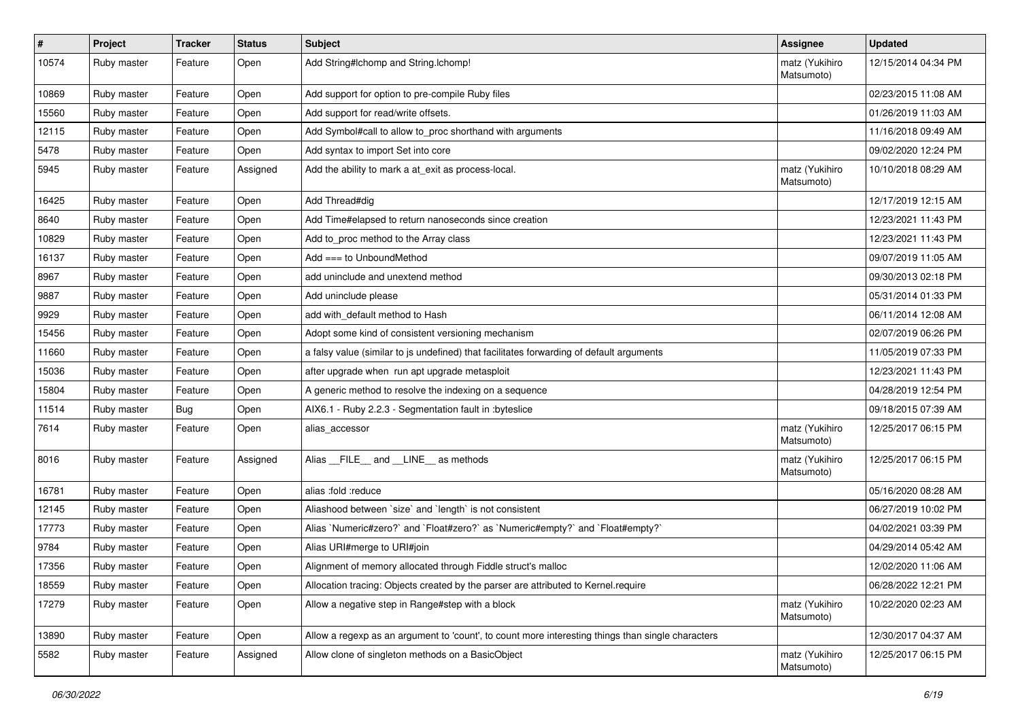| #     | Project     | <b>Tracker</b> | <b>Status</b> | <b>Subject</b>                                                                                    | Assignee                     | <b>Updated</b>      |
|-------|-------------|----------------|---------------|---------------------------------------------------------------------------------------------------|------------------------------|---------------------|
| 10574 | Ruby master | Feature        | Open          | Add String#Ichomp and String.Ichomp!                                                              | matz (Yukihiro<br>Matsumoto) | 12/15/2014 04:34 PM |
| 10869 | Ruby master | Feature        | Open          | Add support for option to pre-compile Ruby files                                                  |                              | 02/23/2015 11:08 AM |
| 15560 | Ruby master | Feature        | Open          | Add support for read/write offsets.                                                               |                              | 01/26/2019 11:03 AM |
| 12115 | Ruby master | Feature        | Open          | Add Symbol#call to allow to_proc shorthand with arguments                                         |                              | 11/16/2018 09:49 AM |
| 5478  | Ruby master | Feature        | Open          | Add syntax to import Set into core                                                                |                              | 09/02/2020 12:24 PM |
| 5945  | Ruby master | Feature        | Assigned      | Add the ability to mark a at_exit as process-local.                                               | matz (Yukihiro<br>Matsumoto) | 10/10/2018 08:29 AM |
| 16425 | Ruby master | Feature        | Open          | Add Thread#dig                                                                                    |                              | 12/17/2019 12:15 AM |
| 8640  | Ruby master | Feature        | Open          | Add Time#elapsed to return nanoseconds since creation                                             |                              | 12/23/2021 11:43 PM |
| 10829 | Ruby master | Feature        | Open          | Add to proc method to the Array class                                                             |                              | 12/23/2021 11:43 PM |
| 16137 | Ruby master | Feature        | Open          | Add $==$ to UnboundMethod                                                                         |                              | 09/07/2019 11:05 AM |
| 8967  | Ruby master | Feature        | Open          | add uninclude and unextend method                                                                 |                              | 09/30/2013 02:18 PM |
| 9887  | Ruby master | Feature        | Open          | Add uninclude please                                                                              |                              | 05/31/2014 01:33 PM |
| 9929  | Ruby master | Feature        | Open          | add with default method to Hash                                                                   |                              | 06/11/2014 12:08 AM |
| 15456 | Ruby master | Feature        | Open          | Adopt some kind of consistent versioning mechanism                                                |                              | 02/07/2019 06:26 PM |
| 11660 | Ruby master | Feature        | Open          | a falsy value (similar to js undefined) that facilitates forwarding of default arguments          |                              | 11/05/2019 07:33 PM |
| 15036 | Ruby master | Feature        | Open          | after upgrade when run apt upgrade metasploit                                                     |                              | 12/23/2021 11:43 PM |
| 15804 | Ruby master | Feature        | Open          | A generic method to resolve the indexing on a sequence                                            |                              | 04/28/2019 12:54 PM |
| 11514 | Ruby master | <b>Bug</b>     | Open          | AIX6.1 - Ruby 2.2.3 - Segmentation fault in :byteslice                                            |                              | 09/18/2015 07:39 AM |
| 7614  | Ruby master | Feature        | Open          | alias accessor                                                                                    | matz (Yukihiro<br>Matsumoto) | 12/25/2017 06:15 PM |
| 8016  | Ruby master | Feature        | Assigned      | Alias FILE and LINE as methods                                                                    | matz (Yukihiro<br>Matsumoto) | 12/25/2017 06:15 PM |
| 16781 | Ruby master | Feature        | Open          | alias :fold :reduce                                                                               |                              | 05/16/2020 08:28 AM |
| 12145 | Ruby master | Feature        | Open          | Aliashood between 'size' and 'length' is not consistent                                           |                              | 06/27/2019 10:02 PM |
| 17773 | Ruby master | Feature        | Open          | Alias `Numeric#zero?` and `Float#zero?` as `Numeric#empty?` and `Float#empty?`                    |                              | 04/02/2021 03:39 PM |
| 9784  | Ruby master | Feature        | Open          | Alias URI#merge to URI#join                                                                       |                              | 04/29/2014 05:42 AM |
| 17356 | Ruby master | Feature        | Open          | Alignment of memory allocated through Fiddle struct's malloc                                      |                              | 12/02/2020 11:06 AM |
| 18559 | Ruby master | Feature        | Open          | Allocation tracing: Objects created by the parser are attributed to Kernel.require                |                              | 06/28/2022 12:21 PM |
| 17279 | Ruby master | Feature        | Open          | Allow a negative step in Range#step with a block                                                  | matz (Yukihiro<br>Matsumoto) | 10/22/2020 02:23 AM |
| 13890 | Ruby master | Feature        | Open          | Allow a regexp as an argument to 'count', to count more interesting things than single characters |                              | 12/30/2017 04:37 AM |
| 5582  | Ruby master | Feature        | Assigned      | Allow clone of singleton methods on a BasicObject                                                 | matz (Yukihiro<br>Matsumoto) | 12/25/2017 06:15 PM |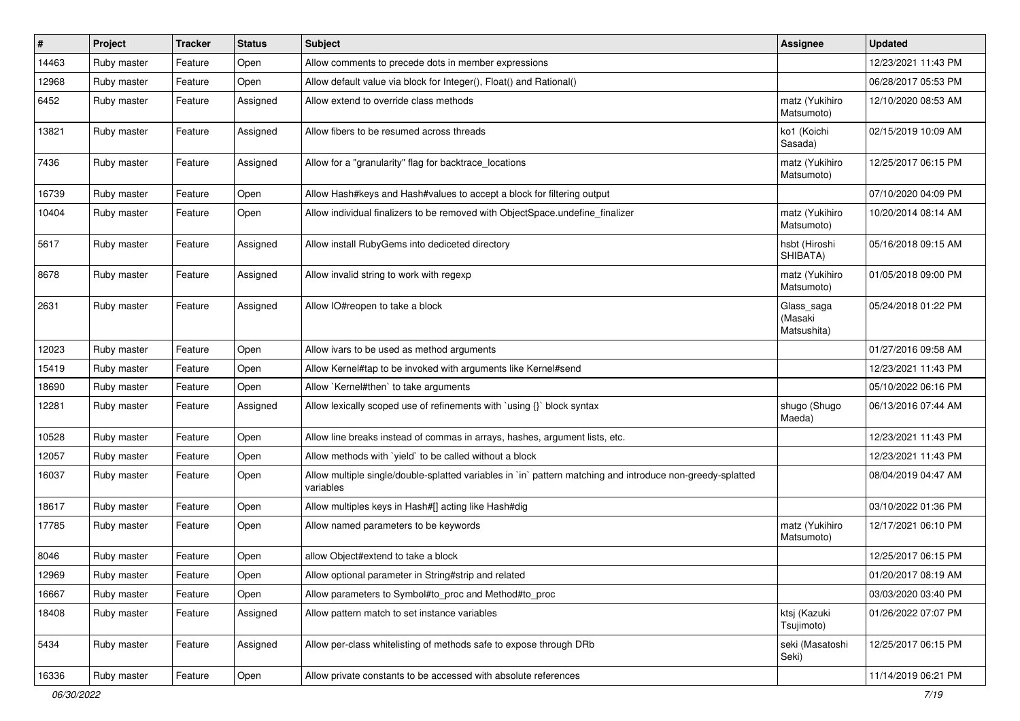| $\sharp$ | Project     | <b>Tracker</b> | <b>Status</b> | Subject                                                                                                                 | <b>Assignee</b>                      | <b>Updated</b>      |
|----------|-------------|----------------|---------------|-------------------------------------------------------------------------------------------------------------------------|--------------------------------------|---------------------|
| 14463    | Ruby master | Feature        | Open          | Allow comments to precede dots in member expressions                                                                    |                                      | 12/23/2021 11:43 PM |
| 12968    | Ruby master | Feature        | Open          | Allow default value via block for Integer(), Float() and Rational()                                                     |                                      | 06/28/2017 05:53 PM |
| 6452     | Ruby master | Feature        | Assigned      | Allow extend to override class methods                                                                                  | matz (Yukihiro<br>Matsumoto)         | 12/10/2020 08:53 AM |
| 13821    | Ruby master | Feature        | Assigned      | Allow fibers to be resumed across threads                                                                               | ko1 (Koichi<br>Sasada)               | 02/15/2019 10:09 AM |
| 7436     | Ruby master | Feature        | Assigned      | Allow for a "granularity" flag for backtrace_locations                                                                  | matz (Yukihiro<br>Matsumoto)         | 12/25/2017 06:15 PM |
| 16739    | Ruby master | Feature        | Open          | Allow Hash#keys and Hash#values to accept a block for filtering output                                                  |                                      | 07/10/2020 04:09 PM |
| 10404    | Ruby master | Feature        | Open          | Allow individual finalizers to be removed with ObjectSpace.undefine_finalizer                                           | matz (Yukihiro<br>Matsumoto)         | 10/20/2014 08:14 AM |
| 5617     | Ruby master | Feature        | Assigned      | Allow install RubyGems into dediceted directory                                                                         | hsbt (Hiroshi<br>SHIBATA)            | 05/16/2018 09:15 AM |
| 8678     | Ruby master | Feature        | Assigned      | Allow invalid string to work with regexp                                                                                | matz (Yukihiro<br>Matsumoto)         | 01/05/2018 09:00 PM |
| 2631     | Ruby master | Feature        | Assigned      | Allow IO#reopen to take a block                                                                                         | Glass_saga<br>(Masaki<br>Matsushita) | 05/24/2018 01:22 PM |
| 12023    | Ruby master | Feature        | Open          | Allow ivars to be used as method arguments                                                                              |                                      | 01/27/2016 09:58 AM |
| 15419    | Ruby master | Feature        | Open          | Allow Kernel#tap to be invoked with arguments like Kernel#send                                                          |                                      | 12/23/2021 11:43 PM |
| 18690    | Ruby master | Feature        | Open          | Allow `Kernel#then` to take arguments                                                                                   |                                      | 05/10/2022 06:16 PM |
| 12281    | Ruby master | Feature        | Assigned      | Allow lexically scoped use of refinements with `using {}` block syntax                                                  | shugo (Shugo<br>Maeda)               | 06/13/2016 07:44 AM |
| 10528    | Ruby master | Feature        | Open          | Allow line breaks instead of commas in arrays, hashes, argument lists, etc.                                             |                                      | 12/23/2021 11:43 PM |
| 12057    | Ruby master | Feature        | Open          | Allow methods with `yield` to be called without a block                                                                 |                                      | 12/23/2021 11:43 PM |
| 16037    | Ruby master | Feature        | Open          | Allow multiple single/double-splatted variables in `in` pattern matching and introduce non-greedy-splatted<br>variables |                                      | 08/04/2019 04:47 AM |
| 18617    | Ruby master | Feature        | Open          | Allow multiples keys in Hash#[] acting like Hash#dig                                                                    |                                      | 03/10/2022 01:36 PM |
| 17785    | Ruby master | Feature        | Open          | Allow named parameters to be keywords                                                                                   | matz (Yukihiro<br>Matsumoto)         | 12/17/2021 06:10 PM |
| 8046     | Ruby master | Feature        | Open          | allow Object#extend to take a block                                                                                     |                                      | 12/25/2017 06:15 PM |
| 12969    | Ruby master | Feature        | Open          | Allow optional parameter in String#strip and related                                                                    |                                      | 01/20/2017 08:19 AM |
| 16667    | Ruby master | Feature        | Open          | Allow parameters to Symbol#to_proc and Method#to_proc                                                                   |                                      | 03/03/2020 03:40 PM |
| 18408    | Ruby master | Feature        | Assigned      | Allow pattern match to set instance variables                                                                           | ktsj (Kazuki<br>Tsujimoto)           | 01/26/2022 07:07 PM |
| 5434     | Ruby master | Feature        | Assigned      | Allow per-class whitelisting of methods safe to expose through DRb                                                      | seki (Masatoshi<br>Seki)             | 12/25/2017 06:15 PM |
| 16336    | Ruby master | Feature        | Open          | Allow private constants to be accessed with absolute references                                                         |                                      | 11/14/2019 06:21 PM |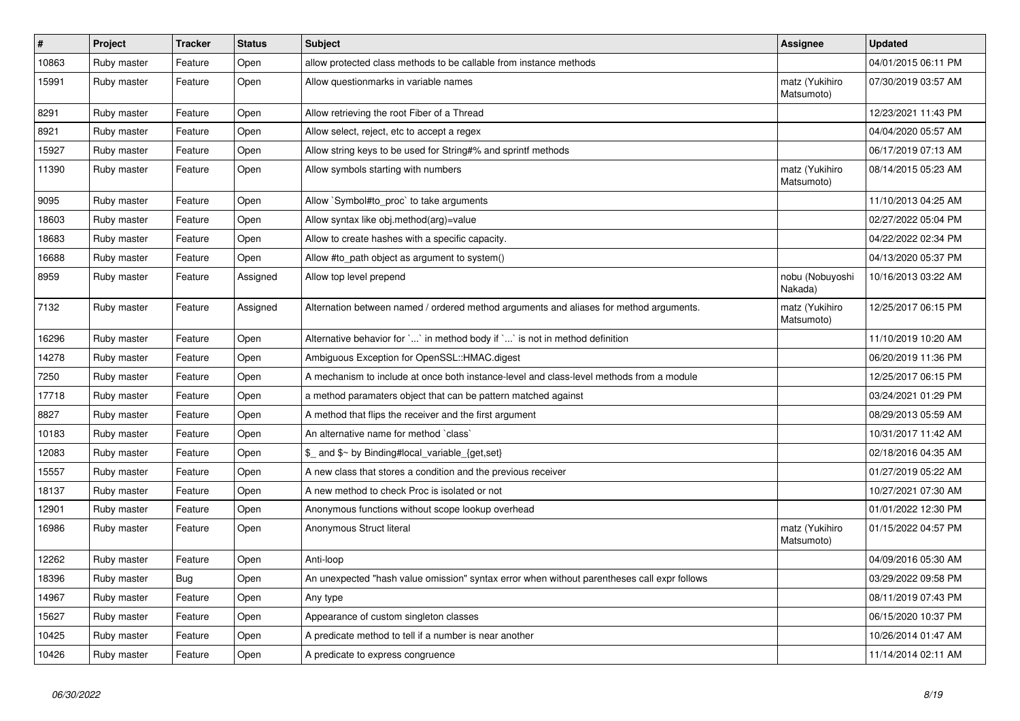| $\vert$ # | Project     | <b>Tracker</b> | <b>Status</b> | <b>Subject</b>                                                                              | Assignee                     | <b>Updated</b>      |
|-----------|-------------|----------------|---------------|---------------------------------------------------------------------------------------------|------------------------------|---------------------|
| 10863     | Ruby master | Feature        | Open          | allow protected class methods to be callable from instance methods                          |                              | 04/01/2015 06:11 PM |
| 15991     | Ruby master | Feature        | Open          | Allow questionmarks in variable names                                                       | matz (Yukihiro<br>Matsumoto) | 07/30/2019 03:57 AM |
| 8291      | Ruby master | Feature        | Open          | Allow retrieving the root Fiber of a Thread                                                 |                              | 12/23/2021 11:43 PM |
| 8921      | Ruby master | Feature        | Open          | Allow select, reject, etc to accept a regex                                                 |                              | 04/04/2020 05:57 AM |
| 15927     | Ruby master | Feature        | Open          | Allow string keys to be used for String#% and sprintf methods                               |                              | 06/17/2019 07:13 AM |
| 11390     | Ruby master | Feature        | Open          | Allow symbols starting with numbers                                                         | matz (Yukihiro<br>Matsumoto) | 08/14/2015 05:23 AM |
| 9095      | Ruby master | Feature        | Open          | Allow `Symbol#to_proc` to take arguments                                                    |                              | 11/10/2013 04:25 AM |
| 18603     | Ruby master | Feature        | Open          | Allow syntax like obj.method(arg)=value                                                     |                              | 02/27/2022 05:04 PM |
| 18683     | Ruby master | Feature        | Open          | Allow to create hashes with a specific capacity.                                            |                              | 04/22/2022 02:34 PM |
| 16688     | Ruby master | Feature        | Open          | Allow #to_path object as argument to system()                                               |                              | 04/13/2020 05:37 PM |
| 8959      | Ruby master | Feature        | Assigned      | Allow top level prepend                                                                     | nobu (Nobuyoshi<br>Nakada)   | 10/16/2013 03:22 AM |
| 7132      | Ruby master | Feature        | Assigned      | Alternation between named / ordered method arguments and aliases for method arguments.      | matz (Yukihiro<br>Matsumoto) | 12/25/2017 06:15 PM |
| 16296     | Ruby master | Feature        | Open          | Alternative behavior for `` in method body if `` is not in method definition                |                              | 11/10/2019 10:20 AM |
| 14278     | Ruby master | Feature        | Open          | Ambiguous Exception for OpenSSL::HMAC.digest                                                |                              | 06/20/2019 11:36 PM |
| 7250      | Ruby master | Feature        | Open          | A mechanism to include at once both instance-level and class-level methods from a module    |                              | 12/25/2017 06:15 PM |
| 17718     | Ruby master | Feature        | Open          | a method paramaters object that can be pattern matched against                              |                              | 03/24/2021 01:29 PM |
| 8827      | Ruby master | Feature        | Open          | A method that flips the receiver and the first argument                                     |                              | 08/29/2013 05:59 AM |
| 10183     | Ruby master | Feature        | Open          | An alternative name for method `class`                                                      |                              | 10/31/2017 11:42 AM |
| 12083     | Ruby master | Feature        | Open          | \$ and \$~ by Binding#local_variable_{get,set}                                              |                              | 02/18/2016 04:35 AM |
| 15557     | Ruby master | Feature        | Open          | A new class that stores a condition and the previous receiver                               |                              | 01/27/2019 05:22 AM |
| 18137     | Ruby master | Feature        | Open          | A new method to check Proc is isolated or not                                               |                              | 10/27/2021 07:30 AM |
| 12901     | Ruby master | Feature        | Open          | Anonymous functions without scope lookup overhead                                           |                              | 01/01/2022 12:30 PM |
| 16986     | Ruby master | Feature        | Open          | Anonymous Struct literal                                                                    | matz (Yukihiro<br>Matsumoto) | 01/15/2022 04:57 PM |
| 12262     | Ruby master | Feature        | Open          | Anti-loop                                                                                   |                              | 04/09/2016 05:30 AM |
| 18396     | Ruby master | Bug            | Open          | An unexpected "hash value omission" syntax error when without parentheses call expr follows |                              | 03/29/2022 09:58 PM |
| 14967     | Ruby master | Feature        | Open          | Any type                                                                                    |                              | 08/11/2019 07:43 PM |
| 15627     | Ruby master | Feature        | Open          | Appearance of custom singleton classes                                                      |                              | 06/15/2020 10:37 PM |
| 10425     | Ruby master | Feature        | Open          | A predicate method to tell if a number is near another                                      |                              | 10/26/2014 01:47 AM |
| 10426     | Ruby master | Feature        | Open          | A predicate to express congruence                                                           |                              | 11/14/2014 02:11 AM |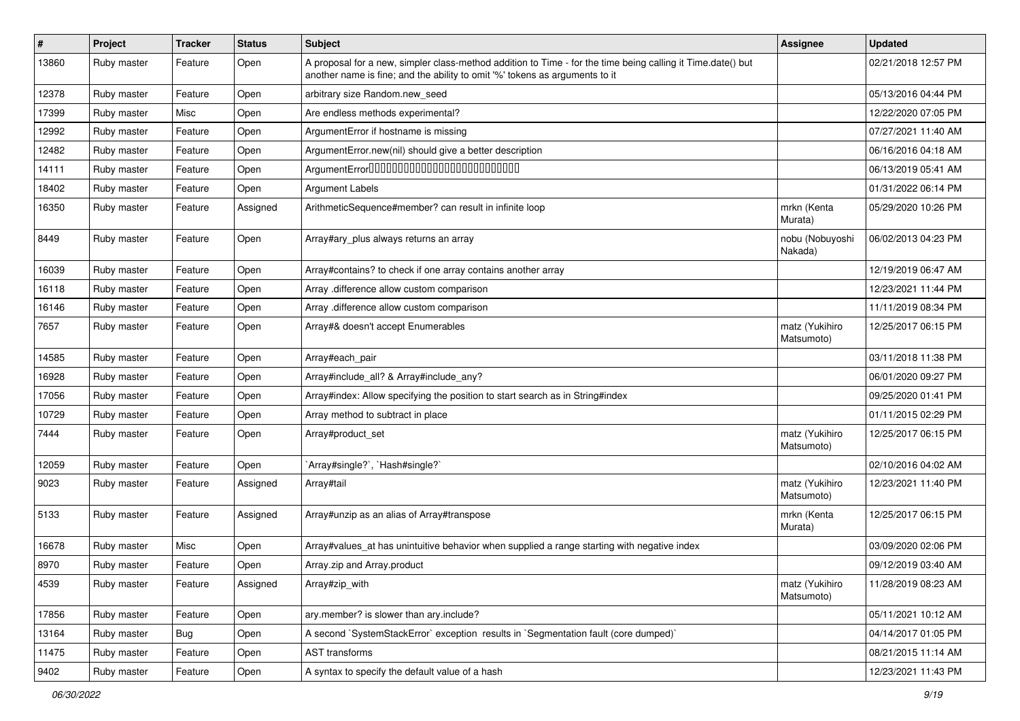| #     | Project     | <b>Tracker</b> | <b>Status</b> | <b>Subject</b>                                                                                                                                                                             | <b>Assignee</b>              | <b>Updated</b>      |
|-------|-------------|----------------|---------------|--------------------------------------------------------------------------------------------------------------------------------------------------------------------------------------------|------------------------------|---------------------|
| 13860 | Ruby master | Feature        | Open          | A proposal for a new, simpler class-method addition to Time - for the time being calling it Time.date() but<br>another name is fine; and the ability to omit '%' tokens as arguments to it |                              | 02/21/2018 12:57 PM |
| 12378 | Ruby master | Feature        | Open          | arbitrary size Random.new_seed                                                                                                                                                             |                              | 05/13/2016 04:44 PM |
| 17399 | Ruby master | Misc           | Open          | Are endless methods experimental?                                                                                                                                                          |                              | 12/22/2020 07:05 PM |
| 12992 | Ruby master | Feature        | Open          | ArgumentError if hostname is missing                                                                                                                                                       |                              | 07/27/2021 11:40 AM |
| 12482 | Ruby master | Feature        | Open          | ArgumentError.new(nil) should give a better description                                                                                                                                    |                              | 06/16/2016 04:18 AM |
| 14111 | Ruby master | Feature        | Open          | ArgumentError00000000000000000000000000                                                                                                                                                    |                              | 06/13/2019 05:41 AM |
| 18402 | Ruby master | Feature        | Open          | <b>Argument Labels</b>                                                                                                                                                                     |                              | 01/31/2022 06:14 PM |
| 16350 | Ruby master | Feature        | Assigned      | ArithmeticSequence#member? can result in infinite loop                                                                                                                                     | mrkn (Kenta<br>Murata)       | 05/29/2020 10:26 PM |
| 8449  | Ruby master | Feature        | Open          | Array#ary_plus always returns an array                                                                                                                                                     | nobu (Nobuyoshi<br>Nakada)   | 06/02/2013 04:23 PM |
| 16039 | Ruby master | Feature        | Open          | Array#contains? to check if one array contains another array                                                                                                                               |                              | 12/19/2019 06:47 AM |
| 16118 | Ruby master | Feature        | Open          | Array .difference allow custom comparison                                                                                                                                                  |                              | 12/23/2021 11:44 PM |
| 16146 | Ruby master | Feature        | Open          | Array .difference allow custom comparison                                                                                                                                                  |                              | 11/11/2019 08:34 PM |
| 7657  | Ruby master | Feature        | Open          | Array#& doesn't accept Enumerables                                                                                                                                                         | matz (Yukihiro<br>Matsumoto) | 12/25/2017 06:15 PM |
| 14585 | Ruby master | Feature        | Open          | Array#each_pair                                                                                                                                                                            |                              | 03/11/2018 11:38 PM |
| 16928 | Ruby master | Feature        | Open          | Array#include_all? & Array#include_any?                                                                                                                                                    |                              | 06/01/2020 09:27 PM |
| 17056 | Ruby master | Feature        | Open          | Array#index: Allow specifying the position to start search as in String#index                                                                                                              |                              | 09/25/2020 01:41 PM |
| 10729 | Ruby master | Feature        | Open          | Array method to subtract in place                                                                                                                                                          |                              | 01/11/2015 02:29 PM |
| 7444  | Ruby master | Feature        | Open          | Array#product_set                                                                                                                                                                          | matz (Yukihiro<br>Matsumoto) | 12/25/2017 06:15 PM |
| 12059 | Ruby master | Feature        | Open          | Array#single?`, `Hash#single?`                                                                                                                                                             |                              | 02/10/2016 04:02 AM |
| 9023  | Ruby master | Feature        | Assigned      | Array#tail                                                                                                                                                                                 | matz (Yukihiro<br>Matsumoto) | 12/23/2021 11:40 PM |
| 5133  | Ruby master | Feature        | Assigned      | Array#unzip as an alias of Array#transpose                                                                                                                                                 | mrkn (Kenta<br>Murata)       | 12/25/2017 06:15 PM |
| 16678 | Ruby master | Misc           | Open          | Array#values_at has unintuitive behavior when supplied a range starting with negative index                                                                                                |                              | 03/09/2020 02:06 PM |
| 8970  | Ruby master | Feature        | Open          | Array.zip and Array.product                                                                                                                                                                |                              | 09/12/2019 03:40 AM |
| 4539  | Ruby master | Feature        | Assigned      | Array#zip_with                                                                                                                                                                             | matz (Yukihiro<br>Matsumoto) | 11/28/2019 08:23 AM |
| 17856 | Ruby master | Feature        | Open          | ary.member? is slower than ary.include?                                                                                                                                                    |                              | 05/11/2021 10:12 AM |
| 13164 | Ruby master | <b>Bug</b>     | Open          | A second `SystemStackError` exception results in `Segmentation fault (core dumped)`                                                                                                        |                              | 04/14/2017 01:05 PM |
| 11475 | Ruby master | Feature        | Open          | AST transforms                                                                                                                                                                             |                              | 08/21/2015 11:14 AM |
| 9402  | Ruby master | Feature        | Open          | A syntax to specify the default value of a hash                                                                                                                                            |                              | 12/23/2021 11:43 PM |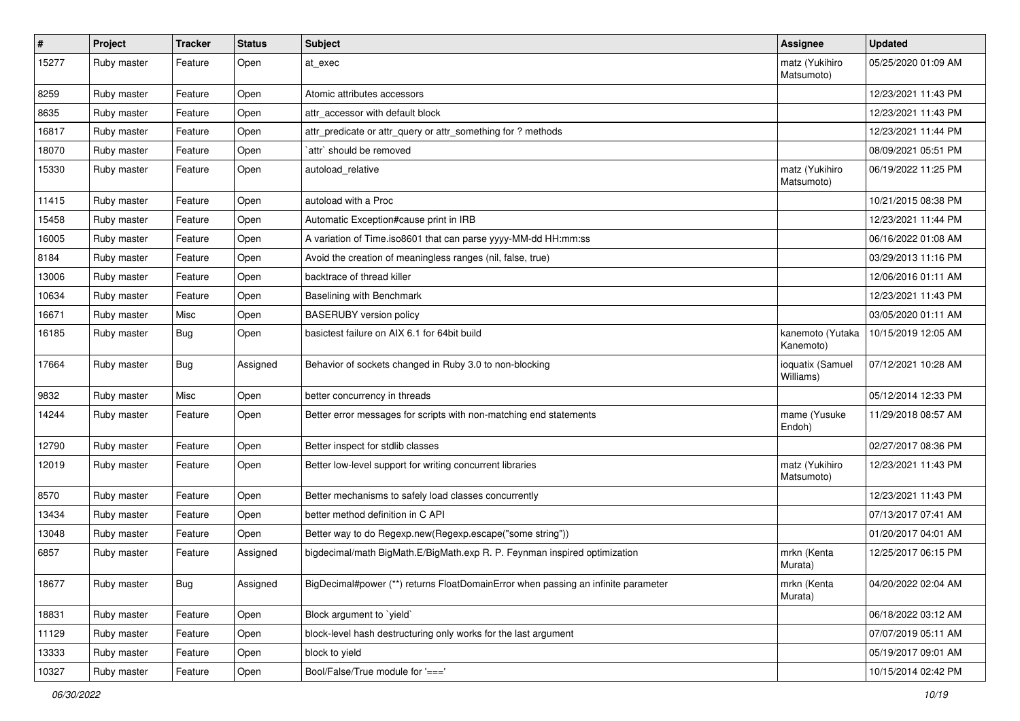| $\vert$ # | Project     | <b>Tracker</b> | <b>Status</b> | Subject                                                                           | <b>Assignee</b>               | <b>Updated</b>      |
|-----------|-------------|----------------|---------------|-----------------------------------------------------------------------------------|-------------------------------|---------------------|
| 15277     | Ruby master | Feature        | Open          | at exec                                                                           | matz (Yukihiro<br>Matsumoto)  | 05/25/2020 01:09 AM |
| 8259      | Ruby master | Feature        | Open          | Atomic attributes accessors                                                       |                               | 12/23/2021 11:43 PM |
| 8635      | Ruby master | Feature        | Open          | attr accessor with default block                                                  |                               | 12/23/2021 11:43 PM |
| 16817     | Ruby master | Feature        | Open          | attr_predicate or attr_query or attr_something for ? methods                      |                               | 12/23/2021 11:44 PM |
| 18070     | Ruby master | Feature        | Open          | `attr` should be removed                                                          |                               | 08/09/2021 05:51 PM |
| 15330     | Ruby master | Feature        | Open          | autoload_relative                                                                 | matz (Yukihiro<br>Matsumoto)  | 06/19/2022 11:25 PM |
| 11415     | Ruby master | Feature        | Open          | autoload with a Proc                                                              |                               | 10/21/2015 08:38 PM |
| 15458     | Ruby master | Feature        | Open          | Automatic Exception#cause print in IRB                                            |                               | 12/23/2021 11:44 PM |
| 16005     | Ruby master | Feature        | Open          | A variation of Time.iso8601 that can parse yyyy-MM-dd HH:mm:ss                    |                               | 06/16/2022 01:08 AM |
| 8184      | Ruby master | Feature        | Open          | Avoid the creation of meaningless ranges (nil, false, true)                       |                               | 03/29/2013 11:16 PM |
| 13006     | Ruby master | Feature        | Open          | backtrace of thread killer                                                        |                               | 12/06/2016 01:11 AM |
| 10634     | Ruby master | Feature        | Open          | Baselining with Benchmark                                                         |                               | 12/23/2021 11:43 PM |
| 16671     | Ruby master | Misc           | Open          | <b>BASERUBY</b> version policy                                                    |                               | 03/05/2020 01:11 AM |
| 16185     | Ruby master | <b>Bug</b>     | Open          | basictest failure on AIX 6.1 for 64bit build                                      | kanemoto (Yutaka<br>Kanemoto) | 10/15/2019 12:05 AM |
| 17664     | Ruby master | <b>Bug</b>     | Assigned      | Behavior of sockets changed in Ruby 3.0 to non-blocking                           | ioquatix (Samuel<br>Williams) | 07/12/2021 10:28 AM |
| 9832      | Ruby master | Misc           | Open          | better concurrency in threads                                                     |                               | 05/12/2014 12:33 PM |
| 14244     | Ruby master | Feature        | Open          | Better error messages for scripts with non-matching end statements                | mame (Yusuke<br>Endoh)        | 11/29/2018 08:57 AM |
| 12790     | Ruby master | Feature        | Open          | Better inspect for stdlib classes                                                 |                               | 02/27/2017 08:36 PM |
| 12019     | Ruby master | Feature        | Open          | Better low-level support for writing concurrent libraries                         | matz (Yukihiro<br>Matsumoto)  | 12/23/2021 11:43 PM |
| 8570      | Ruby master | Feature        | Open          | Better mechanisms to safely load classes concurrently                             |                               | 12/23/2021 11:43 PM |
| 13434     | Ruby master | Feature        | Open          | better method definition in C API                                                 |                               | 07/13/2017 07:41 AM |
| 13048     | Ruby master | Feature        | Open          | Better way to do Regexp.new(Regexp.escape("some string"))                         |                               | 01/20/2017 04:01 AM |
| 6857      | Ruby master | Feature        | Assigned      | bigdecimal/math BigMath.E/BigMath.exp R. P. Feynman inspired optimization         | mrkn (Kenta<br>Murata)        | 12/25/2017 06:15 PM |
| 18677     | Ruby master | <b>Bug</b>     | Assigned      | BigDecimal#power (**) returns FloatDomainError when passing an infinite parameter | mrkn (Kenta<br>Murata)        | 04/20/2022 02:04 AM |
| 18831     | Ruby master | Feature        | Open          | Block argument to `yield`                                                         |                               | 06/18/2022 03:12 AM |
| 11129     | Ruby master | Feature        | Open          | block-level hash destructuring only works for the last argument                   |                               | 07/07/2019 05:11 AM |
| 13333     | Ruby master | Feature        | Open          | block to yield                                                                    |                               | 05/19/2017 09:01 AM |
| 10327     | Ruby master | Feature        | Open          | Bool/False/True module for '==='                                                  |                               | 10/15/2014 02:42 PM |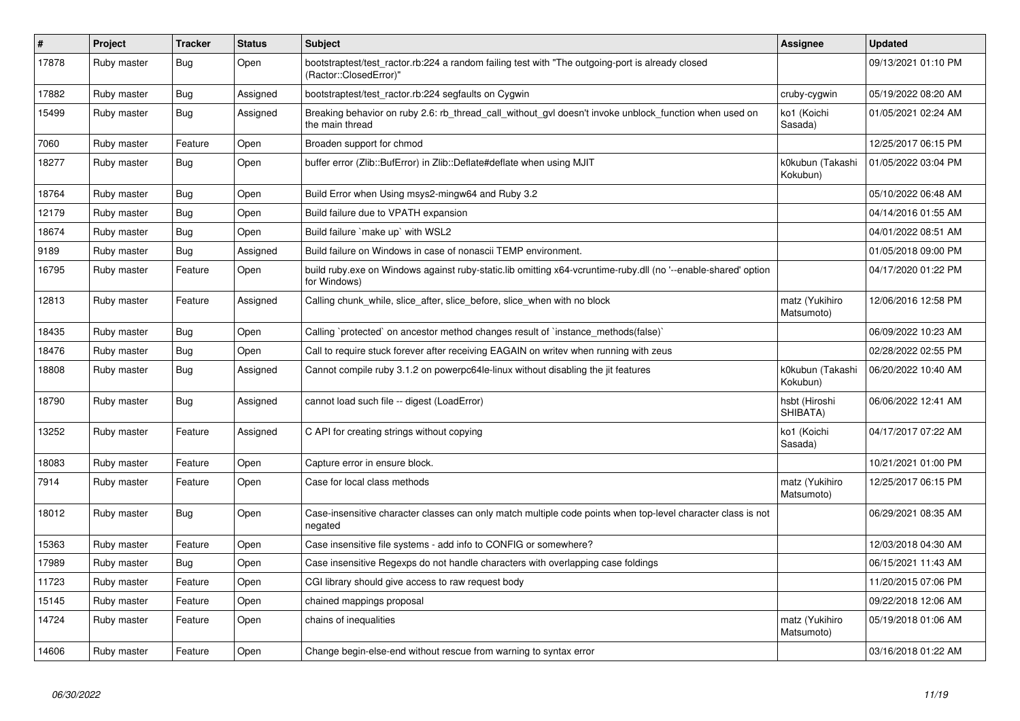| #     | Project     | <b>Tracker</b> | <b>Status</b> | <b>Subject</b>                                                                                                                 | <b>Assignee</b>              | <b>Updated</b>      |
|-------|-------------|----------------|---------------|--------------------------------------------------------------------------------------------------------------------------------|------------------------------|---------------------|
| 17878 | Ruby master | Bug            | Open          | bootstraptest/test_ractor.rb:224 a random failing test with "The outgoing-port is already closed<br>(Ractor::ClosedError)"     |                              | 09/13/2021 01:10 PM |
| 17882 | Ruby master | <b>Bug</b>     | Assigned      | bootstraptest/test ractor.rb:224 segfaults on Cygwin                                                                           | cruby-cygwin                 | 05/19/2022 08:20 AM |
| 15499 | Ruby master | <b>Bug</b>     | Assigned      | Breaking behavior on ruby 2.6: rb_thread_call_without_gvl doesn't invoke unblock_function when used on<br>the main thread      | ko1 (Koichi<br>Sasada)       | 01/05/2021 02:24 AM |
| 7060  | Ruby master | Feature        | Open          | Broaden support for chmod                                                                                                      |                              | 12/25/2017 06:15 PM |
| 18277 | Ruby master | Bug            | Open          | buffer error (Zlib::BufError) in Zlib::Deflate#deflate when using MJIT                                                         | k0kubun (Takashi<br>Kokubun) | 01/05/2022 03:04 PM |
| 18764 | Ruby master | <b>Bug</b>     | Open          | Build Error when Using msys2-mingw64 and Ruby 3.2                                                                              |                              | 05/10/2022 06:48 AM |
| 12179 | Ruby master | <b>Bug</b>     | Open          | Build failure due to VPATH expansion                                                                                           |                              | 04/14/2016 01:55 AM |
| 18674 | Ruby master | <b>Bug</b>     | Open          | Build failure `make up` with WSL2                                                                                              |                              | 04/01/2022 08:51 AM |
| 9189  | Ruby master | Bug            | Assigned      | Build failure on Windows in case of nonascii TEMP environment.                                                                 |                              | 01/05/2018 09:00 PM |
| 16795 | Ruby master | Feature        | Open          | build ruby.exe on Windows against ruby-static.lib omitting x64-vcruntime-ruby.dll (no '--enable-shared' option<br>for Windows) |                              | 04/17/2020 01:22 PM |
| 12813 | Ruby master | Feature        | Assigned      | Calling chunk_while, slice_after, slice_before, slice_when with no block                                                       | matz (Yukihiro<br>Matsumoto) | 12/06/2016 12:58 PM |
| 18435 | Ruby master | Bug            | Open          | Calling `protected` on ancestor method changes result of `instance_methods(false)`                                             |                              | 06/09/2022 10:23 AM |
| 18476 | Ruby master | <b>Bug</b>     | Open          | Call to require stuck forever after receiving EAGAIN on writev when running with zeus                                          |                              | 02/28/2022 02:55 PM |
| 18808 | Ruby master | Bug            | Assigned      | Cannot compile ruby 3.1.2 on powerpc64le-linux without disabling the jit features                                              | k0kubun (Takashi<br>Kokubun) | 06/20/2022 10:40 AM |
| 18790 | Ruby master | Bug            | Assigned      | cannot load such file -- digest (LoadError)                                                                                    | hsbt (Hiroshi<br>SHIBATA)    | 06/06/2022 12:41 AM |
| 13252 | Ruby master | Feature        | Assigned      | C API for creating strings without copying                                                                                     | ko1 (Koichi<br>Sasada)       | 04/17/2017 07:22 AM |
| 18083 | Ruby master | Feature        | Open          | Capture error in ensure block.                                                                                                 |                              | 10/21/2021 01:00 PM |
| 7914  | Ruby master | Feature        | Open          | Case for local class methods                                                                                                   | matz (Yukihiro<br>Matsumoto) | 12/25/2017 06:15 PM |
| 18012 | Ruby master | Bug            | Open          | Case-insensitive character classes can only match multiple code points when top-level character class is not<br>negated        |                              | 06/29/2021 08:35 AM |
| 15363 | Ruby master | Feature        | Open          | Case insensitive file systems - add info to CONFIG or somewhere?                                                               |                              | 12/03/2018 04:30 AM |
| 17989 | Ruby master | Bug            | Open          | Case insensitive Regexps do not handle characters with overlapping case foldings                                               |                              | 06/15/2021 11:43 AM |
| 11723 | Ruby master | Feature        | Open          | CGI library should give access to raw request body                                                                             |                              | 11/20/2015 07:06 PM |
| 15145 | Ruby master | Feature        | Open          | chained mappings proposal                                                                                                      |                              | 09/22/2018 12:06 AM |
| 14724 | Ruby master | Feature        | Open          | chains of inequalities                                                                                                         | matz (Yukihiro<br>Matsumoto) | 05/19/2018 01:06 AM |
| 14606 | Ruby master | Feature        | Open          | Change begin-else-end without rescue from warning to syntax error                                                              |                              | 03/16/2018 01:22 AM |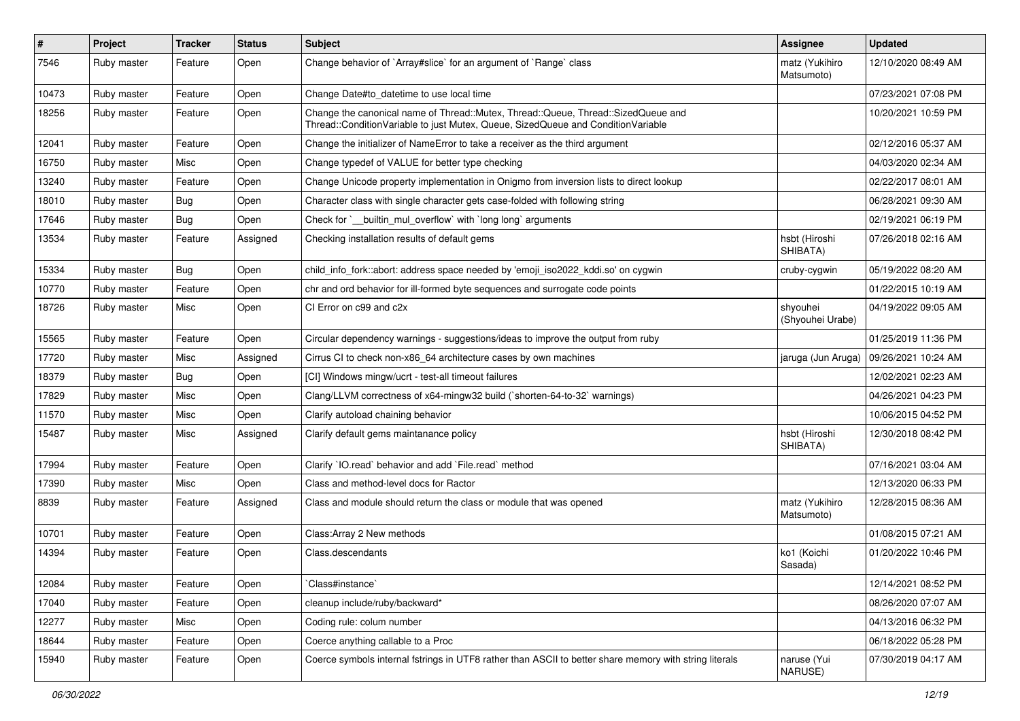| $\vert$ # | Project     | <b>Tracker</b> | <b>Status</b> | Subject                                                                                                                                                               | <b>Assignee</b>              | <b>Updated</b>      |
|-----------|-------------|----------------|---------------|-----------------------------------------------------------------------------------------------------------------------------------------------------------------------|------------------------------|---------------------|
| 7546      | Ruby master | Feature        | Open          | Change behavior of `Array#slice` for an argument of `Range` class                                                                                                     | matz (Yukihiro<br>Matsumoto) | 12/10/2020 08:49 AM |
| 10473     | Ruby master | Feature        | Open          | Change Date#to datetime to use local time                                                                                                                             |                              | 07/23/2021 07:08 PM |
| 18256     | Ruby master | Feature        | Open          | Change the canonical name of Thread::Mutex, Thread::Queue, Thread::SizedQueue and<br>Thread::ConditionVariable to just Mutex, Queue, SizedQueue and ConditionVariable |                              | 10/20/2021 10:59 PM |
| 12041     | Ruby master | Feature        | Open          | Change the initializer of NameError to take a receiver as the third argument                                                                                          |                              | 02/12/2016 05:37 AM |
| 16750     | Ruby master | Misc           | Open          | Change typedef of VALUE for better type checking                                                                                                                      |                              | 04/03/2020 02:34 AM |
| 13240     | Ruby master | Feature        | Open          | Change Unicode property implementation in Onigmo from inversion lists to direct lookup                                                                                |                              | 02/22/2017 08:01 AM |
| 18010     | Ruby master | <b>Bug</b>     | Open          | Character class with single character gets case-folded with following string                                                                                          |                              | 06/28/2021 09:30 AM |
| 17646     | Ruby master | <b>Bug</b>     | Open          | Check for `__builtin_mul_overflow` with `long long` arguments                                                                                                         |                              | 02/19/2021 06:19 PM |
| 13534     | Ruby master | Feature        | Assigned      | Checking installation results of default gems                                                                                                                         | hsbt (Hiroshi<br>SHIBATA)    | 07/26/2018 02:16 AM |
| 15334     | Ruby master | <b>Bug</b>     | Open          | child_info_fork::abort: address space needed by 'emoji_iso2022_kddi.so' on cygwin                                                                                     | cruby-cygwin                 | 05/19/2022 08:20 AM |
| 10770     | Ruby master | Feature        | Open          | chr and ord behavior for ill-formed byte sequences and surrogate code points                                                                                          |                              | 01/22/2015 10:19 AM |
| 18726     | Ruby master | Misc           | Open          | CI Error on c99 and c2x                                                                                                                                               | shyouhei<br>(Shyouhei Urabe) | 04/19/2022 09:05 AM |
| 15565     | Ruby master | Feature        | Open          | Circular dependency warnings - suggestions/ideas to improve the output from ruby                                                                                      |                              | 01/25/2019 11:36 PM |
| 17720     | Ruby master | Misc           | Assigned      | Cirrus CI to check non-x86 64 architecture cases by own machines                                                                                                      | jaruga (Jun Aruga)           | 09/26/2021 10:24 AM |
| 18379     | Ruby master | <b>Bug</b>     | Open          | [CI] Windows mingw/ucrt - test-all timeout failures                                                                                                                   |                              | 12/02/2021 02:23 AM |
| 17829     | Ruby master | Misc           | Open          | Clang/LLVM correctness of x64-mingw32 build (`shorten-64-to-32` warnings)                                                                                             |                              | 04/26/2021 04:23 PM |
| 11570     | Ruby master | Misc           | Open          | Clarify autoload chaining behavior                                                                                                                                    |                              | 10/06/2015 04:52 PM |
| 15487     | Ruby master | Misc           | Assigned      | Clarify default gems maintanance policy                                                                                                                               | hsbt (Hiroshi<br>SHIBATA)    | 12/30/2018 08:42 PM |
| 17994     | Ruby master | Feature        | Open          | Clarify `IO.read` behavior and add `File.read` method                                                                                                                 |                              | 07/16/2021 03:04 AM |
| 17390     | Ruby master | Misc           | Open          | Class and method-level docs for Ractor                                                                                                                                |                              | 12/13/2020 06:33 PM |
| 8839      | Ruby master | Feature        | Assigned      | Class and module should return the class or module that was opened                                                                                                    | matz (Yukihiro<br>Matsumoto) | 12/28/2015 08:36 AM |
| 10701     | Ruby master | Feature        | Open          | Class: Array 2 New methods                                                                                                                                            |                              | 01/08/2015 07:21 AM |
| 14394     | Ruby master | Feature        | Open          | Class.descendants                                                                                                                                                     | ko1 (Koichi<br>Sasada)       | 01/20/2022 10:46 PM |
| 12084     | Ruby master | Feature        | Open          | 'Class#instance'                                                                                                                                                      |                              | 12/14/2021 08:52 PM |
| 17040     | Ruby master | Feature        | Open          | cleanup include/ruby/backward*                                                                                                                                        |                              | 08/26/2020 07:07 AM |
| 12277     | Ruby master | Misc           | Open          | Coding rule: colum number                                                                                                                                             |                              | 04/13/2016 06:32 PM |
| 18644     | Ruby master | Feature        | Open          | Coerce anything callable to a Proc                                                                                                                                    |                              | 06/18/2022 05:28 PM |
| 15940     | Ruby master | Feature        | Open          | Coerce symbols internal fstrings in UTF8 rather than ASCII to better share memory with string literals                                                                | naruse (Yui<br>NARUSE)       | 07/30/2019 04:17 AM |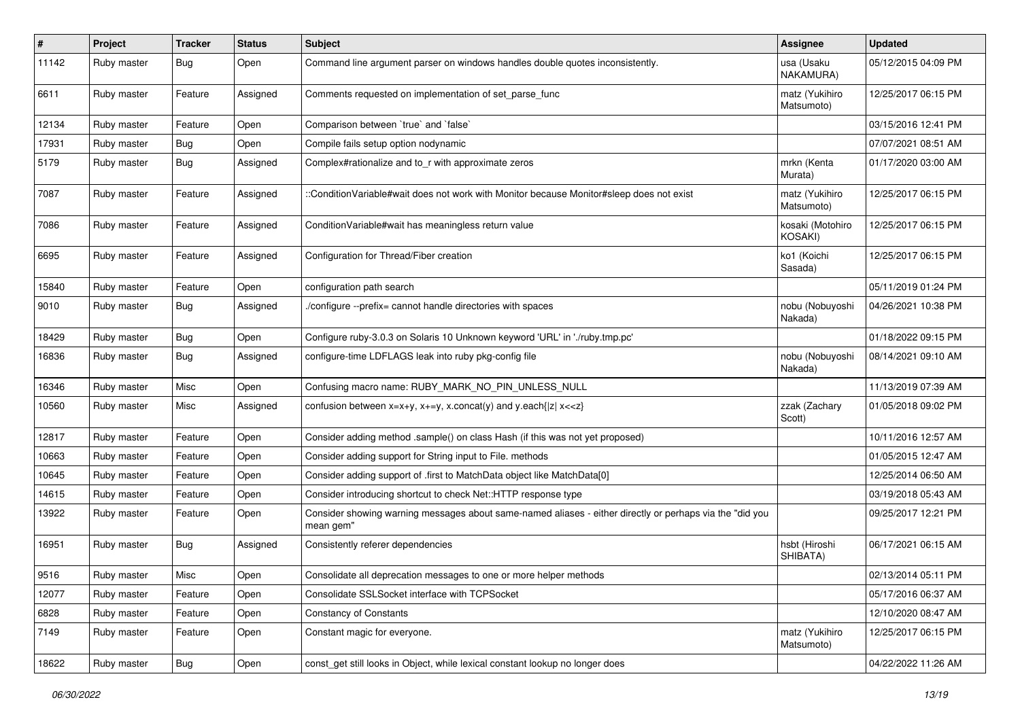| $\vert$ # | Project     | <b>Tracker</b> | <b>Status</b> | Subject                                                                                                               | <b>Assignee</b>              | <b>Updated</b>      |
|-----------|-------------|----------------|---------------|-----------------------------------------------------------------------------------------------------------------------|------------------------------|---------------------|
| 11142     | Ruby master | <b>Bug</b>     | Open          | Command line argument parser on windows handles double quotes inconsistently.                                         | usa (Usaku<br>NAKAMURA)      | 05/12/2015 04:09 PM |
| 6611      | Ruby master | Feature        | Assigned      | Comments requested on implementation of set_parse_func                                                                | matz (Yukihiro<br>Matsumoto) | 12/25/2017 06:15 PM |
| 12134     | Ruby master | Feature        | Open          | Comparison between 'true' and 'false'                                                                                 |                              | 03/15/2016 12:41 PM |
| 17931     | Ruby master | <b>Bug</b>     | Open          | Compile fails setup option nodynamic                                                                                  |                              | 07/07/2021 08:51 AM |
| 5179      | Ruby master | <b>Bug</b>     | Assigned      | Complex#rationalize and to_r with approximate zeros                                                                   | mrkn (Kenta<br>Murata)       | 01/17/2020 03:00 AM |
| 7087      | Ruby master | Feature        | Assigned      | ::ConditionVariable#wait does not work with Monitor because Monitor#sleep does not exist                              | matz (Yukihiro<br>Matsumoto) | 12/25/2017 06:15 PM |
| 7086      | Ruby master | Feature        | Assigned      | Condition Variable#wait has meaningless return value                                                                  | kosaki (Motohiro<br>KOSAKI)  | 12/25/2017 06:15 PM |
| 6695      | Ruby master | Feature        | Assigned      | Configuration for Thread/Fiber creation                                                                               | ko1 (Koichi<br>Sasada)       | 12/25/2017 06:15 PM |
| 15840     | Ruby master | Feature        | Open          | configuration path search                                                                                             |                              | 05/11/2019 01:24 PM |
| 9010      | Ruby master | <b>Bug</b>     | Assigned      | ./configure --prefix= cannot handle directories with spaces                                                           | nobu (Nobuyoshi<br>Nakada)   | 04/26/2021 10:38 PM |
| 18429     | Ruby master | <b>Bug</b>     | Open          | Configure ruby-3.0.3 on Solaris 10 Unknown keyword 'URL' in './ruby.tmp.pc'                                           |                              | 01/18/2022 09:15 PM |
| 16836     | Ruby master | <b>Bug</b>     | Assigned      | configure-time LDFLAGS leak into ruby pkg-config file                                                                 | nobu (Nobuyoshi<br>Nakada)   | 08/14/2021 09:10 AM |
| 16346     | Ruby master | Misc           | Open          | Confusing macro name: RUBY_MARK_NO_PIN_UNLESS_NULL                                                                    |                              | 11/13/2019 07:39 AM |
| 10560     | Ruby master | Misc           | Assigned      | confusion between $x=x+y$ , $x+=y$ , x.concat(y) and y.each{ z  $x<}$                                                 | zzak (Zachary<br>Scott)      | 01/05/2018 09:02 PM |
| 12817     | Ruby master | Feature        | Open          | Consider adding method .sample() on class Hash (if this was not yet proposed)                                         |                              | 10/11/2016 12:57 AM |
| 10663     | Ruby master | Feature        | Open          | Consider adding support for String input to File. methods                                                             |                              | 01/05/2015 12:47 AM |
| 10645     | Ruby master | Feature        | Open          | Consider adding support of .first to MatchData object like MatchData[0]                                               |                              | 12/25/2014 06:50 AM |
| 14615     | Ruby master | Feature        | Open          | Consider introducing shortcut to check Net::HTTP response type                                                        |                              | 03/19/2018 05:43 AM |
| 13922     | Ruby master | Feature        | Open          | Consider showing warning messages about same-named aliases - either directly or perhaps via the "did you<br>mean gem" |                              | 09/25/2017 12:21 PM |
| 16951     | Ruby master | <b>Bug</b>     | Assigned      | Consistently referer dependencies                                                                                     | hsbt (Hiroshi<br>SHIBATA)    | 06/17/2021 06:15 AM |
| 9516      | Ruby master | Misc           | Open          | Consolidate all deprecation messages to one or more helper methods                                                    |                              | 02/13/2014 05:11 PM |
| 12077     | Ruby master | Feature        | Open          | Consolidate SSLSocket interface with TCPSocket                                                                        |                              | 05/17/2016 06:37 AM |
| 6828      | Ruby master | Feature        | Open          | <b>Constancy of Constants</b>                                                                                         |                              | 12/10/2020 08:47 AM |
| 7149      | Ruby master | Feature        | Open          | Constant magic for everyone.                                                                                          | matz (Yukihiro<br>Matsumoto) | 12/25/2017 06:15 PM |
| 18622     | Ruby master | <b>Bug</b>     | Open          | const_get still looks in Object, while lexical constant lookup no longer does                                         |                              | 04/22/2022 11:26 AM |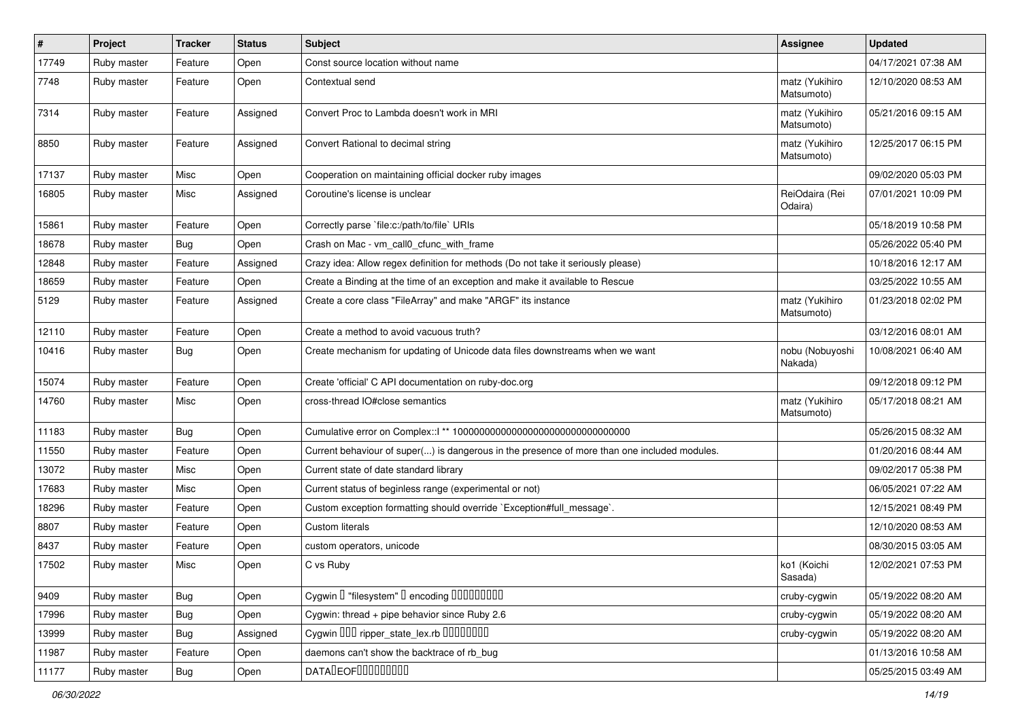| $\sharp$ | Project     | <b>Tracker</b> | <b>Status</b> | Subject                                                                                      | <b>Assignee</b>              | <b>Updated</b>      |
|----------|-------------|----------------|---------------|----------------------------------------------------------------------------------------------|------------------------------|---------------------|
| 17749    | Ruby master | Feature        | Open          | Const source location without name                                                           |                              | 04/17/2021 07:38 AM |
| 7748     | Ruby master | Feature        | Open          | Contextual send                                                                              | matz (Yukihiro<br>Matsumoto) | 12/10/2020 08:53 AM |
| 7314     | Ruby master | Feature        | Assigned      | Convert Proc to Lambda doesn't work in MRI                                                   | matz (Yukihiro<br>Matsumoto) | 05/21/2016 09:15 AM |
| 8850     | Ruby master | Feature        | Assigned      | Convert Rational to decimal string                                                           | matz (Yukihiro<br>Matsumoto) | 12/25/2017 06:15 PM |
| 17137    | Ruby master | Misc           | Open          | Cooperation on maintaining official docker ruby images                                       |                              | 09/02/2020 05:03 PM |
| 16805    | Ruby master | Misc           | Assigned      | Coroutine's license is unclear                                                               | ReiOdaira (Rei<br>Odaira)    | 07/01/2021 10:09 PM |
| 15861    | Ruby master | Feature        | Open          | Correctly parse `file:c:/path/to/file` URIs                                                  |                              | 05/18/2019 10:58 PM |
| 18678    | Ruby master | Bug            | Open          | Crash on Mac - vm_call0_cfunc_with_frame                                                     |                              | 05/26/2022 05:40 PM |
| 12848    | Ruby master | Feature        | Assigned      | Crazy idea: Allow regex definition for methods (Do not take it seriously please)             |                              | 10/18/2016 12:17 AM |
| 18659    | Ruby master | Feature        | Open          | Create a Binding at the time of an exception and make it available to Rescue                 |                              | 03/25/2022 10:55 AM |
| 5129     | Ruby master | Feature        | Assigned      | Create a core class "FileArray" and make "ARGF" its instance                                 | matz (Yukihiro<br>Matsumoto) | 01/23/2018 02:02 PM |
| 12110    | Ruby master | Feature        | Open          | Create a method to avoid vacuous truth?                                                      |                              | 03/12/2016 08:01 AM |
| 10416    | Ruby master | Bug            | Open          | Create mechanism for updating of Unicode data files downstreams when we want                 | nobu (Nobuyoshi<br>Nakada)   | 10/08/2021 06:40 AM |
| 15074    | Ruby master | Feature        | Open          | Create 'official' C API documentation on ruby-doc.org                                        |                              | 09/12/2018 09:12 PM |
| 14760    | Ruby master | Misc           | Open          | cross-thread IO#close semantics                                                              | matz (Yukihiro<br>Matsumoto) | 05/17/2018 08:21 AM |
| 11183    | Ruby master | <b>Bug</b>     | Open          |                                                                                              |                              | 05/26/2015 08:32 AM |
| 11550    | Ruby master | Feature        | Open          | Current behaviour of super() is dangerous in the presence of more than one included modules. |                              | 01/20/2016 08:44 AM |
| 13072    | Ruby master | Misc           | Open          | Current state of date standard library                                                       |                              | 09/02/2017 05:38 PM |
| 17683    | Ruby master | <b>Misc</b>    | Open          | Current status of beginless range (experimental or not)                                      |                              | 06/05/2021 07:22 AM |
| 18296    | Ruby master | Feature        | Open          | Custom exception formatting should override `Exception#full_message`.                        |                              | 12/15/2021 08:49 PM |
| 8807     | Ruby master | Feature        | Open          | <b>Custom literals</b>                                                                       |                              | 12/10/2020 08:53 AM |
| 8437     | Ruby master | Feature        | Open          | custom operators, unicode                                                                    |                              | 08/30/2015 03:05 AM |
| 17502    | Ruby master | Misc           | Open          | C vs Ruby                                                                                    | ko1 (Koichi<br>Sasada)       | 12/02/2021 07:53 PM |
| 9409     | Ruby master | <b>Bug</b>     | Open          | Cygwin I "filesystem" I encoding IIIIIIIIIIII                                                | cruby-cygwin                 | 05/19/2022 08:20 AM |
| 17996    | Ruby master | <b>Bug</b>     | Open          | Cygwin: thread + pipe behavior since Ruby 2.6                                                | cruby-cygwin                 | 05/19/2022 08:20 AM |
| 13999    | Ruby master | <b>Bug</b>     | Assigned      | Cygwin 000 ripper_state_lex.rb 00000000                                                      | cruby-cygwin                 | 05/19/2022 08:20 AM |
| 11987    | Ruby master | Feature        | Open          | daemons can't show the backtrace of rb_bug                                                   |                              | 01/13/2016 10:58 AM |
| 11177    | Ruby master | Bug            | Open          | DATA DEOFOODOOOOO                                                                            |                              | 05/25/2015 03:49 AM |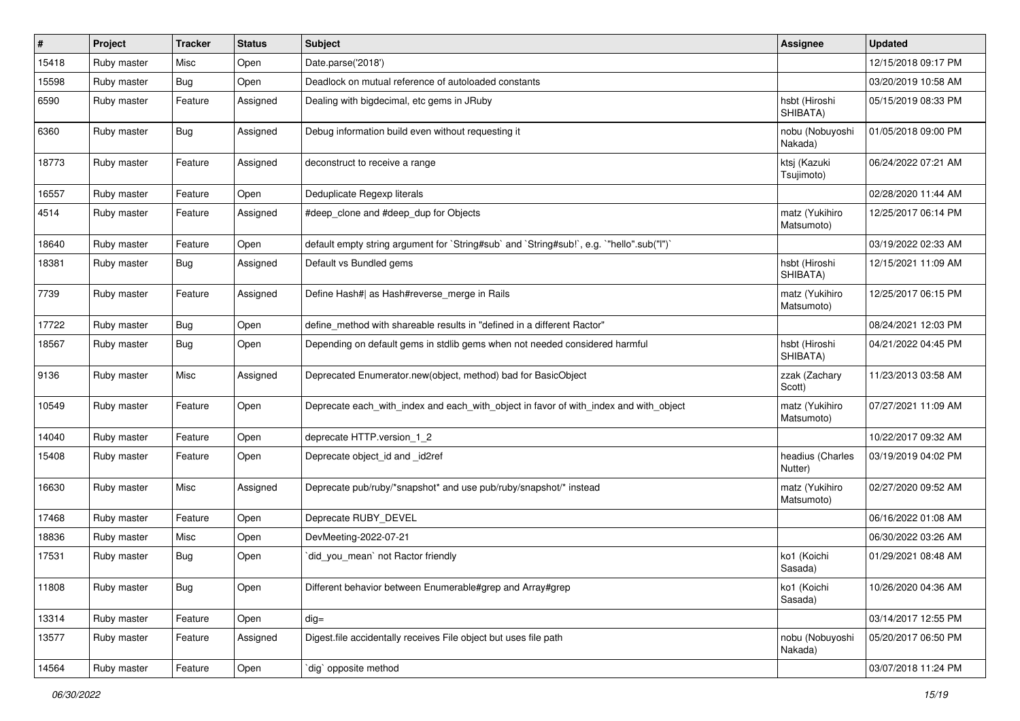| $\vert$ # | Project     | <b>Tracker</b> | <b>Status</b> | Subject                                                                                   | <b>Assignee</b>              | <b>Updated</b>      |
|-----------|-------------|----------------|---------------|-------------------------------------------------------------------------------------------|------------------------------|---------------------|
| 15418     | Ruby master | Misc           | Open          | Date.parse('2018')                                                                        |                              | 12/15/2018 09:17 PM |
| 15598     | Ruby master | Bug            | Open          | Deadlock on mutual reference of autoloaded constants                                      |                              | 03/20/2019 10:58 AM |
| 6590      | Ruby master | Feature        | Assigned      | Dealing with bigdecimal, etc gems in JRuby                                                | hsbt (Hiroshi<br>SHIBATA)    | 05/15/2019 08:33 PM |
| 6360      | Ruby master | <b>Bug</b>     | Assigned      | Debug information build even without requesting it                                        | nobu (Nobuyoshi<br>Nakada)   | 01/05/2018 09:00 PM |
| 18773     | Ruby master | Feature        | Assigned      | deconstruct to receive a range                                                            | ktsj (Kazuki<br>Tsujimoto)   | 06/24/2022 07:21 AM |
| 16557     | Ruby master | Feature        | Open          | Deduplicate Regexp literals                                                               |                              | 02/28/2020 11:44 AM |
| 4514      | Ruby master | Feature        | Assigned      | #deep_clone and #deep_dup for Objects                                                     | matz (Yukihiro<br>Matsumoto) | 12/25/2017 06:14 PM |
| 18640     | Ruby master | Feature        | Open          | default empty string argument for `String#sub` and `String#sub!`, e.g. `"hello".sub("I")` |                              | 03/19/2022 02:33 AM |
| 18381     | Ruby master | <b>Bug</b>     | Assigned      | Default vs Bundled gems                                                                   | hsbt (Hiroshi<br>SHIBATA)    | 12/15/2021 11:09 AM |
| 7739      | Ruby master | Feature        | Assigned      | Define Hash#  as Hash#reverse_merge in Rails                                              | matz (Yukihiro<br>Matsumoto) | 12/25/2017 06:15 PM |
| 17722     | Ruby master | <b>Bug</b>     | Open          | define_method with shareable results in "defined in a different Ractor"                   |                              | 08/24/2021 12:03 PM |
| 18567     | Ruby master | <b>Bug</b>     | Open          | Depending on default gems in stdlib gems when not needed considered harmful               | hsbt (Hiroshi<br>SHIBATA)    | 04/21/2022 04:45 PM |
| 9136      | Ruby master | Misc           | Assigned      | Deprecated Enumerator.new(object, method) bad for BasicObject                             | zzak (Zachary<br>Scott)      | 11/23/2013 03:58 AM |
| 10549     | Ruby master | Feature        | Open          | Deprecate each_with_index and each_with_object in favor of with_index and with_object     | matz (Yukihiro<br>Matsumoto) | 07/27/2021 11:09 AM |
| 14040     | Ruby master | Feature        | Open          | deprecate HTTP.version_1_2                                                                |                              | 10/22/2017 09:32 AM |
| 15408     | Ruby master | Feature        | Open          | Deprecate object id and id2ref                                                            | headius (Charles<br>Nutter)  | 03/19/2019 04:02 PM |
| 16630     | Ruby master | Misc           | Assigned      | Deprecate pub/ruby/*snapshot* and use pub/ruby/snapshot/* instead                         | matz (Yukihiro<br>Matsumoto) | 02/27/2020 09:52 AM |
| 17468     | Ruby master | Feature        | Open          | Deprecate RUBY_DEVEL                                                                      |                              | 06/16/2022 01:08 AM |
| 18836     | Ruby master | Misc           | Open          | DevMeeting-2022-07-21                                                                     |                              | 06/30/2022 03:26 AM |
| 17531     | Ruby master | <b>Bug</b>     | Open          | did_you_mean` not Ractor friendly                                                         | ko1 (Koichi<br>Sasada)       | 01/29/2021 08:48 AM |
| 11808     | Ruby master | <b>Bug</b>     | Open          | Different behavior between Enumerable#grep and Array#grep                                 | ko1 (Koichi<br>Sasada)       | 10/26/2020 04:36 AM |
| 13314     | Ruby master | Feature        | Open          | $dig =$                                                                                   |                              | 03/14/2017 12:55 PM |
| 13577     | Ruby master | Feature        | Assigned      | Digest file accidentally receives File object but uses file path                          | nobu (Nobuyoshi<br>Nakada)   | 05/20/2017 06:50 PM |
| 14564     | Ruby master | Feature        | Open          | dig` opposite method                                                                      |                              | 03/07/2018 11:24 PM |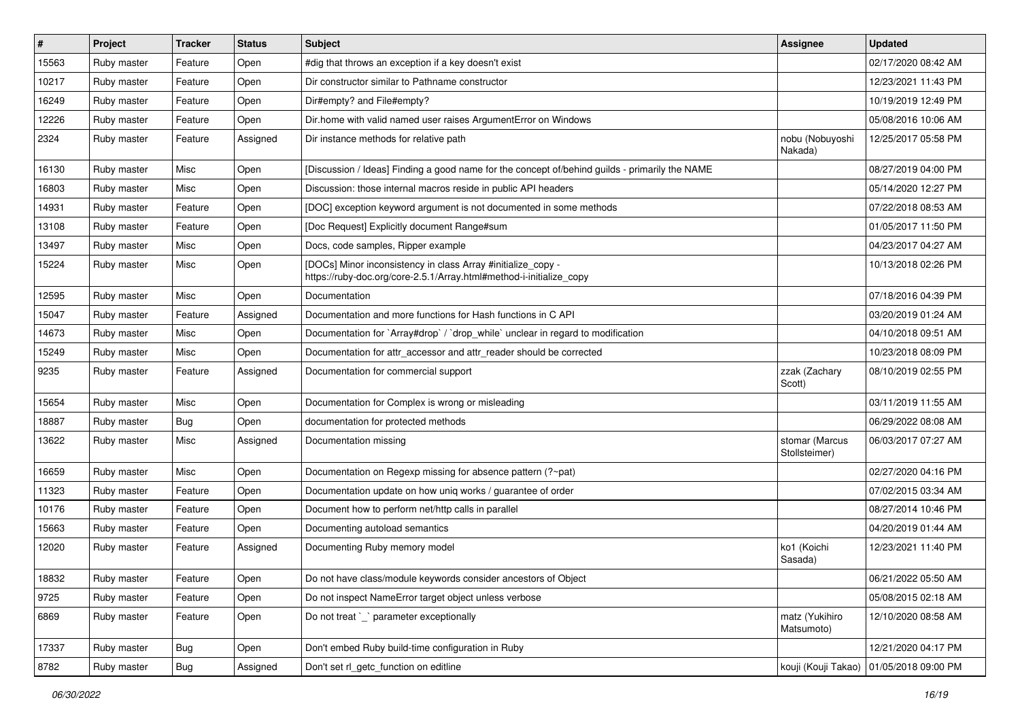| #     | Project     | <b>Tracker</b> | <b>Status</b> | Subject                                                                                                                             | <b>Assignee</b>                 | <b>Updated</b>      |
|-------|-------------|----------------|---------------|-------------------------------------------------------------------------------------------------------------------------------------|---------------------------------|---------------------|
| 15563 | Ruby master | Feature        | Open          | #dig that throws an exception if a key doesn't exist                                                                                |                                 | 02/17/2020 08:42 AM |
| 10217 | Ruby master | Feature        | Open          | Dir constructor similar to Pathname constructor                                                                                     |                                 | 12/23/2021 11:43 PM |
| 16249 | Ruby master | Feature        | Open          | Dir#empty? and File#empty?                                                                                                          |                                 | 10/19/2019 12:49 PM |
| 12226 | Ruby master | Feature        | Open          | Dir.home with valid named user raises ArgumentError on Windows                                                                      |                                 | 05/08/2016 10:06 AM |
| 2324  | Ruby master | Feature        | Assigned      | Dir instance methods for relative path                                                                                              | nobu (Nobuyoshi<br>Nakada)      | 12/25/2017 05:58 PM |
| 16130 | Ruby master | Misc           | Open          | [Discussion / Ideas] Finding a good name for the concept of/behind guilds - primarily the NAME                                      |                                 | 08/27/2019 04:00 PM |
| 16803 | Ruby master | Misc           | Open          | Discussion: those internal macros reside in public API headers                                                                      |                                 | 05/14/2020 12:27 PM |
| 14931 | Ruby master | Feature        | Open          | [DOC] exception keyword argument is not documented in some methods                                                                  |                                 | 07/22/2018 08:53 AM |
| 13108 | Ruby master | Feature        | Open          | [Doc Request] Explicitly document Range#sum                                                                                         |                                 | 01/05/2017 11:50 PM |
| 13497 | Ruby master | Misc           | Open          | Docs, code samples, Ripper example                                                                                                  |                                 | 04/23/2017 04:27 AM |
| 15224 | Ruby master | Misc           | Open          | [DOCs] Minor inconsistency in class Array #initialize_copy -<br>https://ruby-doc.org/core-2.5.1/Array.html#method-i-initialize_copy |                                 | 10/13/2018 02:26 PM |
| 12595 | Ruby master | Misc           | Open          | Documentation                                                                                                                       |                                 | 07/18/2016 04:39 PM |
| 15047 | Ruby master | Feature        | Assigned      | Documentation and more functions for Hash functions in C API                                                                        |                                 | 03/20/2019 01:24 AM |
| 14673 | Ruby master | Misc           | Open          | Documentation for `Array#drop` / `drop while` unclear in regard to modification                                                     |                                 | 04/10/2018 09:51 AM |
| 15249 | Ruby master | Misc           | Open          | Documentation for attr_accessor and attr_reader should be corrected                                                                 |                                 | 10/23/2018 08:09 PM |
| 9235  | Ruby master | Feature        | Assigned      | Documentation for commercial support                                                                                                | zzak (Zachary<br>Scott)         | 08/10/2019 02:55 PM |
| 15654 | Ruby master | Misc           | Open          | Documentation for Complex is wrong or misleading                                                                                    |                                 | 03/11/2019 11:55 AM |
| 18887 | Ruby master | <b>Bug</b>     | Open          | documentation for protected methods                                                                                                 |                                 | 06/29/2022 08:08 AM |
| 13622 | Ruby master | Misc           | Assigned      | Documentation missing                                                                                                               | stomar (Marcus<br>Stollsteimer) | 06/03/2017 07:27 AM |
| 16659 | Ruby master | Misc           | Open          | Documentation on Regexp missing for absence pattern (?~pat)                                                                         |                                 | 02/27/2020 04:16 PM |
| 11323 | Ruby master | Feature        | Open          | Documentation update on how uniq works / guarantee of order                                                                         |                                 | 07/02/2015 03:34 AM |
| 10176 | Ruby master | Feature        | Open          | Document how to perform net/http calls in parallel                                                                                  |                                 | 08/27/2014 10:46 PM |
| 15663 | Ruby master | Feature        | Open          | Documenting autoload semantics                                                                                                      |                                 | 04/20/2019 01:44 AM |
| 12020 | Ruby master | Feature        | Assigned      | Documenting Ruby memory model                                                                                                       | ko1 (Koichi<br>Sasada)          | 12/23/2021 11:40 PM |
| 18832 | Ruby master | Feature        | Open          | Do not have class/module keywords consider ancestors of Object                                                                      |                                 | 06/21/2022 05:50 AM |
| 9725  | Ruby master | Feature        | Open          | Do not inspect NameError target object unless verbose                                                                               |                                 | 05/08/2015 02:18 AM |
| 6869  | Ruby master | Feature        | Open          | Do not treat `_` parameter exceptionally                                                                                            | matz (Yukihiro<br>Matsumoto)    | 12/10/2020 08:58 AM |
| 17337 | Ruby master | <b>Bug</b>     | Open          | Don't embed Ruby build-time configuration in Ruby                                                                                   |                                 | 12/21/2020 04:17 PM |
| 8782  | Ruby master | <b>Bug</b>     | Assigned      | Don't set rl getc function on editline                                                                                              | kouji (Kouji Takao)             | 01/05/2018 09:00 PM |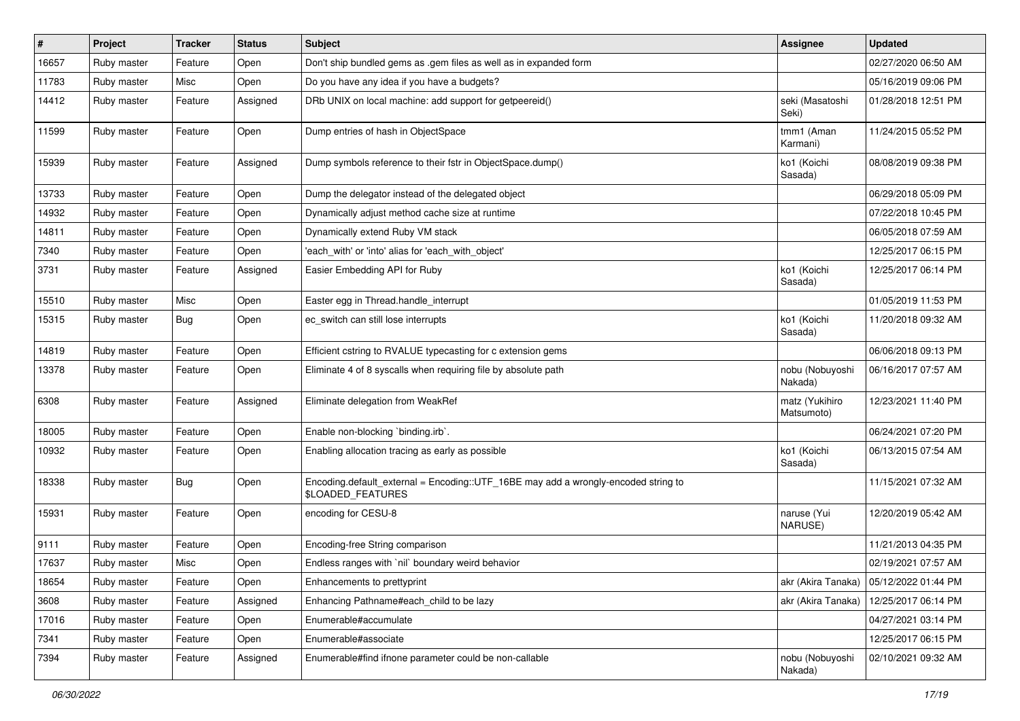| $\vert$ # | Project     | <b>Tracker</b> | <b>Status</b> | <b>Subject</b>                                                                                          | <b>Assignee</b>              | <b>Updated</b>                           |
|-----------|-------------|----------------|---------------|---------------------------------------------------------------------------------------------------------|------------------------------|------------------------------------------|
| 16657     | Ruby master | Feature        | Open          | Don't ship bundled gems as .gem files as well as in expanded form                                       |                              | 02/27/2020 06:50 AM                      |
| 11783     | Ruby master | Misc           | Open          | Do you have any idea if you have a budgets?                                                             |                              | 05/16/2019 09:06 PM                      |
| 14412     | Ruby master | Feature        | Assigned      | DRb UNIX on local machine: add support for getpeereid()                                                 | seki (Masatoshi<br>Seki)     | 01/28/2018 12:51 PM                      |
| 11599     | Ruby master | Feature        | Open          | Dump entries of hash in ObjectSpace                                                                     | tmm1 (Aman<br>Karmani)       | 11/24/2015 05:52 PM                      |
| 15939     | Ruby master | Feature        | Assigned      | Dump symbols reference to their fstr in ObjectSpace.dump()                                              | ko1 (Koichi<br>Sasada)       | 08/08/2019 09:38 PM                      |
| 13733     | Ruby master | Feature        | Open          | Dump the delegator instead of the delegated object                                                      |                              | 06/29/2018 05:09 PM                      |
| 14932     | Ruby master | Feature        | Open          | Dynamically adjust method cache size at runtime                                                         |                              | 07/22/2018 10:45 PM                      |
| 14811     | Ruby master | Feature        | Open          | Dynamically extend Ruby VM stack                                                                        |                              | 06/05/2018 07:59 AM                      |
| 7340      | Ruby master | Feature        | Open          | 'each_with' or 'into' alias for 'each_with_object'                                                      |                              | 12/25/2017 06:15 PM                      |
| 3731      | Ruby master | Feature        | Assigned      | Easier Embedding API for Ruby                                                                           | ko1 (Koichi<br>Sasada)       | 12/25/2017 06:14 PM                      |
| 15510     | Ruby master | Misc           | Open          | Easter egg in Thread.handle_interrupt                                                                   |                              | 01/05/2019 11:53 PM                      |
| 15315     | Ruby master | <b>Bug</b>     | Open          | ec_switch can still lose interrupts                                                                     | ko1 (Koichi<br>Sasada)       | 11/20/2018 09:32 AM                      |
| 14819     | Ruby master | Feature        | Open          | Efficient cstring to RVALUE typecasting for c extension gems                                            |                              | 06/06/2018 09:13 PM                      |
| 13378     | Ruby master | Feature        | Open          | Eliminate 4 of 8 syscalls when requiring file by absolute path                                          | nobu (Nobuyoshi<br>Nakada)   | 06/16/2017 07:57 AM                      |
| 6308      | Ruby master | Feature        | Assigned      | Eliminate delegation from WeakRef                                                                       | matz (Yukihiro<br>Matsumoto) | 12/23/2021 11:40 PM                      |
| 18005     | Ruby master | Feature        | Open          | Enable non-blocking `binding.irb`.                                                                      |                              | 06/24/2021 07:20 PM                      |
| 10932     | Ruby master | Feature        | Open          | Enabling allocation tracing as early as possible                                                        | ko1 (Koichi<br>Sasada)       | 06/13/2015 07:54 AM                      |
| 18338     | Ruby master | <b>Bug</b>     | Open          | Encoding.default_external = Encoding::UTF_16BE may add a wrongly-encoded string to<br>\$LOADED_FEATURES |                              | 11/15/2021 07:32 AM                      |
| 15931     | Ruby master | Feature        | Open          | encoding for CESU-8                                                                                     | naruse (Yui<br>NARUSE)       | 12/20/2019 05:42 AM                      |
| 9111      | Ruby master | Feature        | Open          | Encoding-free String comparison                                                                         |                              | 11/21/2013 04:35 PM                      |
| 17637     | Ruby master | Misc           | Open          | Endless ranges with 'nil' boundary weird behavior                                                       |                              | 02/19/2021 07:57 AM                      |
| 18654     | Ruby master | Feature        | Open          | Enhancements to prettyprint                                                                             |                              | akr (Akira Tanaka)   05/12/2022 01:44 PM |
| 3608      | Ruby master | Feature        | Assigned      | Enhancing Pathname#each child to be lazy                                                                | akr (Akira Tanaka)           | 12/25/2017 06:14 PM                      |
| 17016     | Ruby master | Feature        | Open          | Enumerable#accumulate                                                                                   |                              | 04/27/2021 03:14 PM                      |
| 7341      | Ruby master | Feature        | Open          | Enumerable#associate                                                                                    |                              | 12/25/2017 06:15 PM                      |
| 7394      | Ruby master | Feature        | Assigned      | Enumerable#find ifnone parameter could be non-callable                                                  | nobu (Nobuyoshi<br>Nakada)   | 02/10/2021 09:32 AM                      |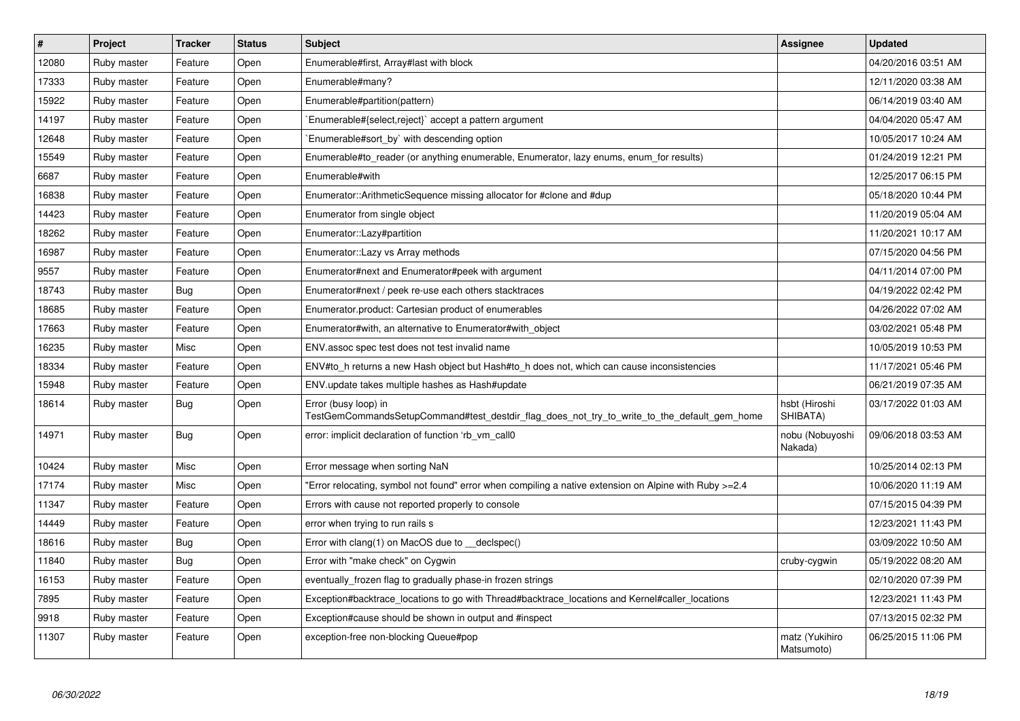| $\vert$ # | <b>Project</b> | <b>Tracker</b> | <b>Status</b> | <b>Subject</b>                                                                                                      | Assignee                     | <b>Updated</b>      |
|-----------|----------------|----------------|---------------|---------------------------------------------------------------------------------------------------------------------|------------------------------|---------------------|
| 12080     | Ruby master    | Feature        | Open          | Enumerable#first, Array#last with block                                                                             |                              | 04/20/2016 03:51 AM |
| 17333     | Ruby master    | Feature        | Open          | Enumerable#many?                                                                                                    |                              | 12/11/2020 03:38 AM |
| 15922     | Ruby master    | Feature        | Open          | Enumerable#partition(pattern)                                                                                       |                              | 06/14/2019 03:40 AM |
| 14197     | Ruby master    | Feature        | Open          | Enumerable#{select,reject}` accept a pattern argument                                                               |                              | 04/04/2020 05:47 AM |
| 12648     | Ruby master    | Feature        | Open          | Enumerable#sort_by` with descending option                                                                          |                              | 10/05/2017 10:24 AM |
| 15549     | Ruby master    | Feature        | Open          | Enumerable#to_reader (or anything enumerable, Enumerator, lazy enums, enum_for results)                             |                              | 01/24/2019 12:21 PM |
| 6687      | Ruby master    | Feature        | Open          | Enumerable#with                                                                                                     |                              | 12/25/2017 06:15 PM |
| 16838     | Ruby master    | Feature        | Open          | Enumerator::ArithmeticSequence missing allocator for #clone and #dup                                                |                              | 05/18/2020 10:44 PM |
| 14423     | Ruby master    | Feature        | Open          | Enumerator from single object                                                                                       |                              | 11/20/2019 05:04 AM |
| 18262     | Ruby master    | Feature        | Open          | Enumerator::Lazy#partition                                                                                          |                              | 11/20/2021 10:17 AM |
| 16987     | Ruby master    | Feature        | Open          | Enumerator:: Lazy vs Array methods                                                                                  |                              | 07/15/2020 04:56 PM |
| 9557      | Ruby master    | Feature        | Open          | Enumerator#next and Enumerator#peek with argument                                                                   |                              | 04/11/2014 07:00 PM |
| 18743     | Ruby master    | <b>Bug</b>     | Open          | Enumerator#next / peek re-use each others stacktraces                                                               |                              | 04/19/2022 02:42 PM |
| 18685     | Ruby master    | Feature        | Open          | Enumerator.product: Cartesian product of enumerables                                                                |                              | 04/26/2022 07:02 AM |
| 17663     | Ruby master    | Feature        | Open          | Enumerator#with, an alternative to Enumerator#with object                                                           |                              | 03/02/2021 05:48 PM |
| 16235     | Ruby master    | Misc           | Open          | ENV assoc spec test does not test invalid name                                                                      |                              | 10/05/2019 10:53 PM |
| 18334     | Ruby master    | Feature        | Open          | ENV#to h returns a new Hash object but Hash#to h does not, which can cause inconsistencies                          |                              | 11/17/2021 05:46 PM |
| 15948     | Ruby master    | Feature        | Open          | ENV.update takes multiple hashes as Hash#update                                                                     |                              | 06/21/2019 07:35 AM |
| 18614     | Ruby master    | Bug            | Open          | Error (busy loop) in<br>TestGemCommandsSetupCommand#test_destdir_flag_does_not_try_to_write_to_the_default_gem_home | hsbt (Hiroshi<br>SHIBATA)    | 03/17/2022 01:03 AM |
| 14971     | Ruby master    | Bug            | Open          | error: implicit declaration of function 'rb_vm_call0                                                                | nobu (Nobuyoshi<br>Nakada)   | 09/06/2018 03:53 AM |
| 10424     | Ruby master    | Misc           | Open          | Error message when sorting NaN                                                                                      |                              | 10/25/2014 02:13 PM |
| 17174     | Ruby master    | <b>Misc</b>    | Open          | Error relocating, symbol not found" error when compiling a native extension on Alpine with Ruby >=2.4               |                              | 10/06/2020 11:19 AM |
| 11347     | Ruby master    | Feature        | Open          | Errors with cause not reported properly to console                                                                  |                              | 07/15/2015 04:39 PM |
| 14449     | Ruby master    | Feature        | Open          | error when trying to run rails s                                                                                    |                              | 12/23/2021 11:43 PM |
| 18616     | Ruby master    | Bug            | Open          | Error with clang(1) on MacOS due to __declspec()                                                                    |                              | 03/09/2022 10:50 AM |
| 11840     | Ruby master    | Bug            | Open          | Error with "make check" on Cygwin                                                                                   | cruby-cygwin                 | 05/19/2022 08:20 AM |
| 16153     | Ruby master    | Feature        | Open          | eventually frozen flag to gradually phase-in frozen strings                                                         |                              | 02/10/2020 07:39 PM |
| 7895      | Ruby master    | Feature        | Open          | Exception#backtrace_locations to go with Thread#backtrace_locations and Kernel#caller_locations                     |                              | 12/23/2021 11:43 PM |
| 9918      | Ruby master    | Feature        | Open          | Exception#cause should be shown in output and #inspect                                                              |                              | 07/13/2015 02:32 PM |
| 11307     | Ruby master    | Feature        | Open          | exception-free non-blocking Queue#pop                                                                               | matz (Yukihiro<br>Matsumoto) | 06/25/2015 11:06 PM |